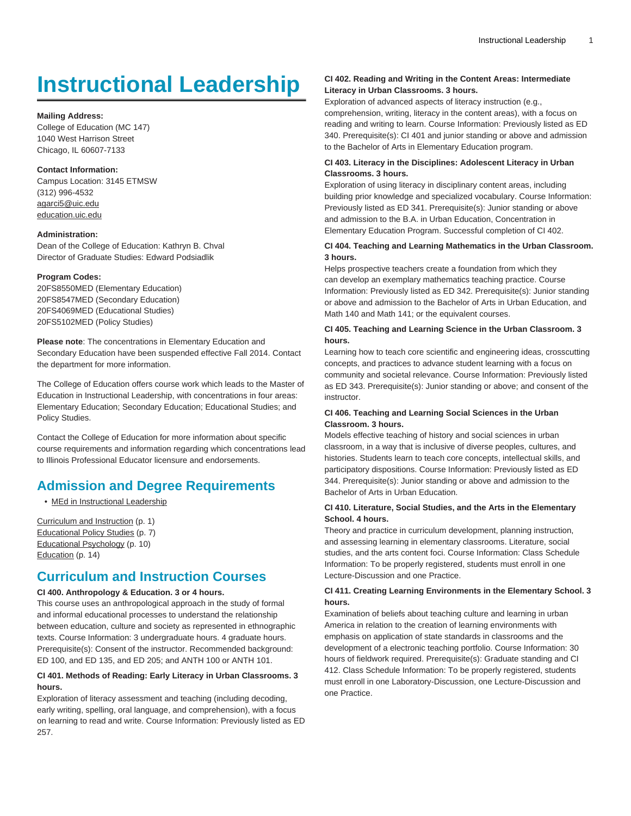# **Instructional Leadership**

#### **Mailing Address:**

College of Education (MC 147) 1040 West Harrison Street Chicago, IL 60607-7133

# **Contact Information:**

Campus Location: 3145 ETMSW (312) 996-4532 [agarci5@uic.edu](mailto:agarci5@uic.edu) [education.uic.edu](http://education.uic.edu/)

#### **Administration:**

Dean of the College of Education: Kathryn B. Chval Director of Graduate Studies: Edward Podsiadlik

#### **Program Codes:**

20FS8550MED (Elementary Education) 20FS8547MED (Secondary Education) 20FS4069MED (Educational Studies) 20FS5102MED (Policy Studies)

**Please note**: The concentrations in Elementary Education and Secondary Education have been suspended effective Fall 2014. Contact the department for more information.

The College of Education offers course work which leads to the Master of Education in Instructional Leadership, with concentrations in four areas: Elementary Education; Secondary Education; Educational Studies; and Policy Studies.

Contact the College of Education for more information about specific course requirements and information regarding which concentrations lead to Illinois Professional Educator licensure and endorsements.

# **Admission and Degree Requirements**

• [MEd in Instructional Leadership](http://catalog.uic.edu/gcat/colleges-schools/education/inst-lead/med/)

[Curriculum and Instruction](#page-0-0) [\(p. 1\)](#page-0-0) [Educational Policy Studies](#page-6-0) [\(p. 7](#page-6-0)) [Educational Psychology](#page-9-0) ([p. 10\)](#page-9-0) [Education \(p. 14](#page-13-0))

# <span id="page-0-0"></span>**Curriculum and Instruction Courses**

# **CI 400. Anthropology & Education. 3 or 4 hours.**

This course uses an anthropological approach in the study of formal and informal educational processes to understand the relationship between education, culture and society as represented in ethnographic texts. Course Information: 3 undergraduate hours. 4 graduate hours. Prerequisite(s): Consent of the instructor. Recommended background: ED 100, and ED 135, and ED 205; and ANTH 100 or ANTH 101.

# **CI 401. Methods of Reading: Early Literacy in Urban Classrooms. 3 hours.**

Exploration of literacy assessment and teaching (including decoding, early writing, spelling, oral language, and comprehension), with a focus on learning to read and write. Course Information: Previously listed as ED 257.

# **CI 402. Reading and Writing in the Content Areas: Intermediate Literacy in Urban Classrooms. 3 hours.**

Exploration of advanced aspects of literacy instruction (e.g., comprehension, writing, literacy in the content areas), with a focus on reading and writing to learn. Course Information: Previously listed as ED 340. Prerequisite(s): CI 401 and junior standing or above and admission to the Bachelor of Arts in Elementary Education program.

# **CI 403. Literacy in the Disciplines: Adolescent Literacy in Urban Classrooms. 3 hours.**

Exploration of using literacy in disciplinary content areas, including building prior knowledge and specialized vocabulary. Course Information: Previously listed as ED 341. Prerequisite(s): Junior standing or above and admission to the B.A. in Urban Education, Concentration in Elementary Education Program. Successful completion of CI 402.

# **CI 404. Teaching and Learning Mathematics in the Urban Classroom. 3 hours.**

Helps prospective teachers create a foundation from which they can develop an exemplary mathematics teaching practice. Course Information: Previously listed as ED 342. Prerequisite(s): Junior standing or above and admission to the Bachelor of Arts in Urban Education, and Math 140 and Math 141; or the equivalent courses.

# **CI 405. Teaching and Learning Science in the Urban Classroom. 3 hours.**

Learning how to teach core scientific and engineering ideas, crosscutting concepts, and practices to advance student learning with a focus on community and societal relevance. Course Information: Previously listed as ED 343. Prerequisite(s): Junior standing or above; and consent of the instructor.

# **CI 406. Teaching and Learning Social Sciences in the Urban Classroom. 3 hours.**

Models effective teaching of history and social sciences in urban classroom, in a way that is inclusive of diverse peoples, cultures, and histories. Students learn to teach core concepts, intellectual skills, and participatory dispositions. Course Information: Previously listed as ED 344. Prerequisite(s): Junior standing or above and admission to the Bachelor of Arts in Urban Education.

# **CI 410. Literature, Social Studies, and the Arts in the Elementary School. 4 hours.**

Theory and practice in curriculum development, planning instruction, and assessing learning in elementary classrooms. Literature, social studies, and the arts content foci. Course Information: Class Schedule Information: To be properly registered, students must enroll in one Lecture-Discussion and one Practice.

# **CI 411. Creating Learning Environments in the Elementary School. 3 hours.**

Examination of beliefs about teaching culture and learning in urban America in relation to the creation of learning environments with emphasis on application of state standards in classrooms and the development of a electronic teaching portfolio. Course Information: 30 hours of fieldwork required. Prerequisite(s): Graduate standing and CI 412. Class Schedule Information: To be properly registered, students must enroll in one Laboratory-Discussion, one Lecture-Discussion and one Practice.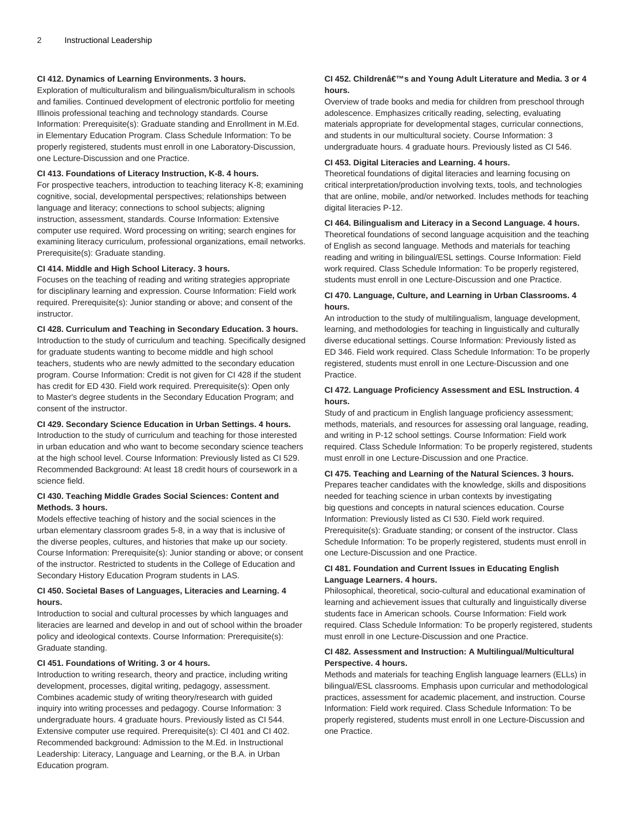# **CI 412. Dynamics of Learning Environments. 3 hours.**

Exploration of multiculturalism and bilingualism/biculturalism in schools and families. Continued development of electronic portfolio for meeting Illinois professional teaching and technology standards. Course Information: Prerequisite(s): Graduate standing and Enrollment in M.Ed. in Elementary Education Program. Class Schedule Information: To be properly registered, students must enroll in one Laboratory-Discussion, one Lecture-Discussion and one Practice.

#### **CI 413. Foundations of Literacy Instruction, K-8. 4 hours.**

For prospective teachers, introduction to teaching literacy K-8; examining cognitive, social, developmental perspectives; relationships between language and literacy; connections to school subjects; aligning instruction, assessment, standards. Course Information: Extensive computer use required. Word processing on writing; search engines for examining literacy curriculum, professional organizations, email networks. Prerequisite(s): Graduate standing.

#### **CI 414. Middle and High School Literacy. 3 hours.**

Focuses on the teaching of reading and writing strategies appropriate for disciplinary learning and expression. Course Information: Field work required. Prerequisite(s): Junior standing or above; and consent of the instructor.

# **CI 428. Curriculum and Teaching in Secondary Education. 3 hours.**

Introduction to the study of curriculum and teaching. Specifically designed for graduate students wanting to become middle and high school teachers, students who are newly admitted to the secondary education program. Course Information: Credit is not given for CI 428 if the student has credit for ED 430. Field work required. Prerequisite(s): Open only to Master's degree students in the Secondary Education Program; and consent of the instructor.

### **CI 429. Secondary Science Education in Urban Settings. 4 hours.**

Introduction to the study of curriculum and teaching for those interested in urban education and who want to become secondary science teachers at the high school level. Course Information: Previously listed as CI 529. Recommended Background: At least 18 credit hours of coursework in a science field.

# **CI 430. Teaching Middle Grades Social Sciences: Content and Methods. 3 hours.**

Models effective teaching of history and the social sciences in the urban elementary classroom grades 5-8, in a way that is inclusive of the diverse peoples, cultures, and histories that make up our society. Course Information: Prerequisite(s): Junior standing or above; or consent of the instructor. Restricted to students in the College of Education and Secondary History Education Program students in LAS.

# **CI 450. Societal Bases of Languages, Literacies and Learning. 4 hours.**

Introduction to social and cultural processes by which languages and literacies are learned and develop in and out of school within the broader policy and ideological contexts. Course Information: Prerequisite(s): Graduate standing.

#### **CI 451. Foundations of Writing. 3 or 4 hours.**

Introduction to writing research, theory and practice, including writing development, processes, digital writing, pedagogy, assessment. Combines academic study of writing theory/research with guided inquiry into writing processes and pedagogy. Course Information: 3 undergraduate hours. 4 graduate hours. Previously listed as CI 544. Extensive computer use required. Prerequisite(s): CI 401 and CI 402. Recommended background: Admission to the M.Ed. in Instructional Leadership: Literacy, Language and Learning, or the B.A. in Urban Education program.

# CI 452. Childrenâ€<sup>™</sup>s and Young Adult Literature and Media. 3 or 4 **hours.**

Overview of trade books and media for children from preschool through adolescence. Emphasizes critically reading, selecting, evaluating materials appropriate for developmental stages, curricular connections, and students in our multicultural society. Course Information: 3 undergraduate hours. 4 graduate hours. Previously listed as CI 546.

#### **CI 453. Digital Literacies and Learning. 4 hours.**

Theoretical foundations of digital literacies and learning focusing on critical interpretation/production involving texts, tools, and technologies that are online, mobile, and/or networked. Includes methods for teaching digital literacies P-12.

#### **CI 464. Bilingualism and Literacy in a Second Language. 4 hours.**

Theoretical foundations of second language acquisition and the teaching of English as second language. Methods and materials for teaching reading and writing in bilingual/ESL settings. Course Information: Field work required. Class Schedule Information: To be properly registered, students must enroll in one Lecture-Discussion and one Practice.

# **CI 470. Language, Culture, and Learning in Urban Classrooms. 4 hours.**

An introduction to the study of multilingualism, language development, learning, and methodologies for teaching in linguistically and culturally diverse educational settings. Course Information: Previously listed as ED 346. Field work required. Class Schedule Information: To be properly registered, students must enroll in one Lecture-Discussion and one Practice.

# **CI 472. Language Proficiency Assessment and ESL Instruction. 4 hours.**

Study of and practicum in English language proficiency assessment; methods, materials, and resources for assessing oral language, reading, and writing in P-12 school settings. Course Information: Field work required. Class Schedule Information: To be properly registered, students must enroll in one Lecture-Discussion and one Practice.

#### **CI 475. Teaching and Learning of the Natural Sciences. 3 hours.** Prepares teacher candidates with the knowledge, skills and dispositions

needed for teaching science in urban contexts by investigating big questions and concepts in natural sciences education. Course Information: Previously listed as CI 530. Field work required. Prerequisite(s): Graduate standing; or consent of the instructor. Class Schedule Information: To be properly registered, students must enroll in one Lecture-Discussion and one Practice.

# **CI 481. Foundation and Current Issues in Educating English Language Learners. 4 hours.**

Philosophical, theoretical, socio-cultural and educational examination of learning and achievement issues that culturally and linguistically diverse students face in American schools. Course Information: Field work required. Class Schedule Information: To be properly registered, students must enroll in one Lecture-Discussion and one Practice.

# **CI 482. Assessment and Instruction: A Multilingual/Multicultural Perspective. 4 hours.**

Methods and materials for teaching English language learners (ELLs) in bilingual/ESL classrooms. Emphasis upon curricular and methodological practices, assessment for academic placement, and instruction. Course Information: Field work required. Class Schedule Information: To be properly registered, students must enroll in one Lecture-Discussion and one Practice.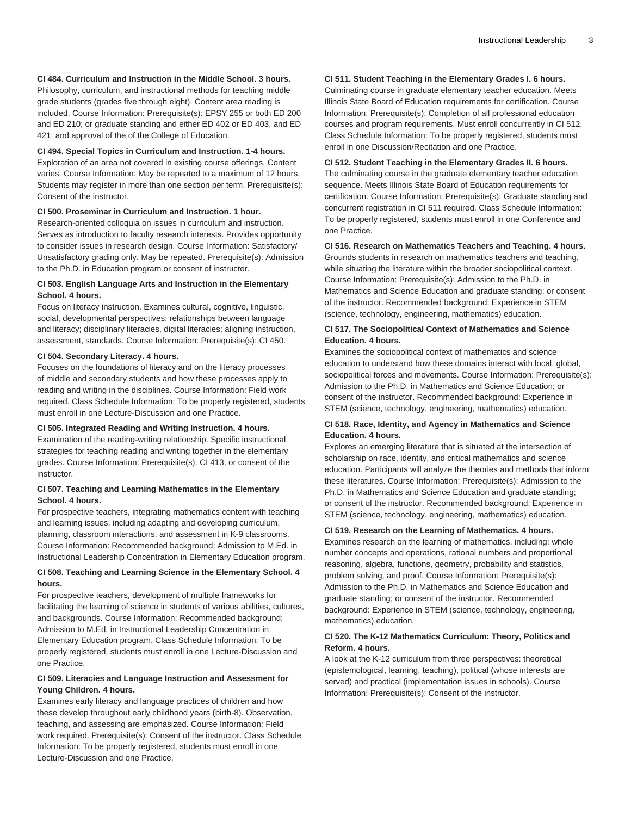# **CI 484. Curriculum and Instruction in the Middle School. 3 hours.**

Philosophy, curriculum, and instructional methods for teaching middle grade students (grades five through eight). Content area reading is included. Course Information: Prerequisite(s): EPSY 255 or both ED 200 and ED 210; or graduate standing and either ED 402 or ED 403, and ED 421; and approval of the of the College of Education.

#### **CI 494. Special Topics in Curriculum and Instruction. 1-4 hours.**

Exploration of an area not covered in existing course offerings. Content varies. Course Information: May be repeated to a maximum of 12 hours. Students may register in more than one section per term. Prerequisite(s): Consent of the instructor.

#### **CI 500. Proseminar in Curriculum and Instruction. 1 hour.**

Research-oriented colloquia on issues in curriculum and instruction. Serves as introduction to faculty research interests. Provides opportunity to consider issues in research design. Course Information: Satisfactory/ Unsatisfactory grading only. May be repeated. Prerequisite(s): Admission to the Ph.D. in Education program or consent of instructor.

# **CI 503. English Language Arts and Instruction in the Elementary School. 4 hours.**

Focus on literacy instruction. Examines cultural, cognitive, linguistic, social, developmental perspectives; relationships between language and literacy; disciplinary literacies, digital literacies; aligning instruction, assessment, standards. Course Information: Prerequisite(s): CI 450.

# **CI 504. Secondary Literacy. 4 hours.**

Focuses on the foundations of literacy and on the literacy processes of middle and secondary students and how these processes apply to reading and writing in the disciplines. Course Information: Field work required. Class Schedule Information: To be properly registered, students must enroll in one Lecture-Discussion and one Practice.

#### **CI 505. Integrated Reading and Writing Instruction. 4 hours.**

Examination of the reading-writing relationship. Specific instructional strategies for teaching reading and writing together in the elementary grades. Course Information: Prerequisite(s): CI 413; or consent of the instructor.

#### **CI 507. Teaching and Learning Mathematics in the Elementary School. 4 hours.**

For prospective teachers, integrating mathematics content with teaching and learning issues, including adapting and developing curriculum, planning, classroom interactions, and assessment in K-9 classrooms. Course Information: Recommended background: Admission to M.Ed. in Instructional Leadership Concentration in Elementary Education program.

#### **CI 508. Teaching and Learning Science in the Elementary School. 4 hours.**

For prospective teachers, development of multiple frameworks for facilitating the learning of science in students of various abilities, cultures, and backgrounds. Course Information: Recommended background: Admission to M.Ed. in Instructional Leadership Concentration in Elementary Education program. Class Schedule Information: To be properly registered, students must enroll in one Lecture-Discussion and one Practice.

# **CI 509. Literacies and Language Instruction and Assessment for Young Children. 4 hours.**

Examines early literacy and language practices of children and how these develop throughout early childhood years (birth-8). Observation, teaching, and assessing are emphasized. Course Information: Field work required. Prerequisite(s): Consent of the instructor. Class Schedule Information: To be properly registered, students must enroll in one Lecture-Discussion and one Practice.

# **CI 511. Student Teaching in the Elementary Grades I. 6 hours.**

Culminating course in graduate elementary teacher education. Meets Illinois State Board of Education requirements for certification. Course Information: Prerequisite(s): Completion of all professional education courses and program requirements. Must enroll concurrently in CI 512. Class Schedule Information: To be properly registered, students must enroll in one Discussion/Recitation and one Practice.

#### **CI 512. Student Teaching in the Elementary Grades II. 6 hours.**

The culminating course in the graduate elementary teacher education sequence. Meets Illinois State Board of Education requirements for certification. Course Information: Prerequisite(s): Graduate standing and concurrent registration in CI 511 required. Class Schedule Information: To be properly registered, students must enroll in one Conference and one Practice.

#### **CI 516. Research on Mathematics Teachers and Teaching. 4 hours.**

Grounds students in research on mathematics teachers and teaching, while situating the literature within the broader sociopolitical context. Course Information: Prerequisite(s): Admission to the Ph.D. in Mathematics and Science Education and graduate standing; or consent of the instructor. Recommended background: Experience in STEM (science, technology, engineering, mathematics) education.

# **CI 517. The Sociopolitical Context of Mathematics and Science Education. 4 hours.**

Examines the sociopolitical context of mathematics and science education to understand how these domains interact with local, global, sociopolitical forces and movements. Course Information: Prerequisite(s): Admission to the Ph.D. in Mathematics and Science Education; or consent of the instructor. Recommended background: Experience in STEM (science, technology, engineering, mathematics) education.

# **CI 518. Race, Identity, and Agency in Mathematics and Science Education. 4 hours.**

Explores an emerging literature that is situated at the intersection of scholarship on race, identity, and critical mathematics and science education. Participants will analyze the theories and methods that inform these literatures. Course Information: Prerequisite(s): Admission to the Ph.D. in Mathematics and Science Education and graduate standing; or consent of the instructor. Recommended background: Experience in STEM (science, technology, engineering, mathematics) education.

#### **CI 519. Research on the Learning of Mathematics. 4 hours.**

Examines research on the learning of mathematics, including: whole number concepts and operations, rational numbers and proportional reasoning, algebra, functions, geometry, probability and statistics, problem solving, and proof. Course Information: Prerequisite(s): Admission to the Ph.D. in Mathematics and Science Education and graduate standing; or consent of the instructor. Recommended background: Experience in STEM (science, technology, engineering, mathematics) education.

# **CI 520. The K-12 Mathematics Curriculum: Theory, Politics and Reform. 4 hours.**

A look at the K-12 curriculum from three perspectives: theoretical (epistemological, learning, teaching), political (whose interests are served) and practical (implementation issues in schools). Course Information: Prerequisite(s): Consent of the instructor.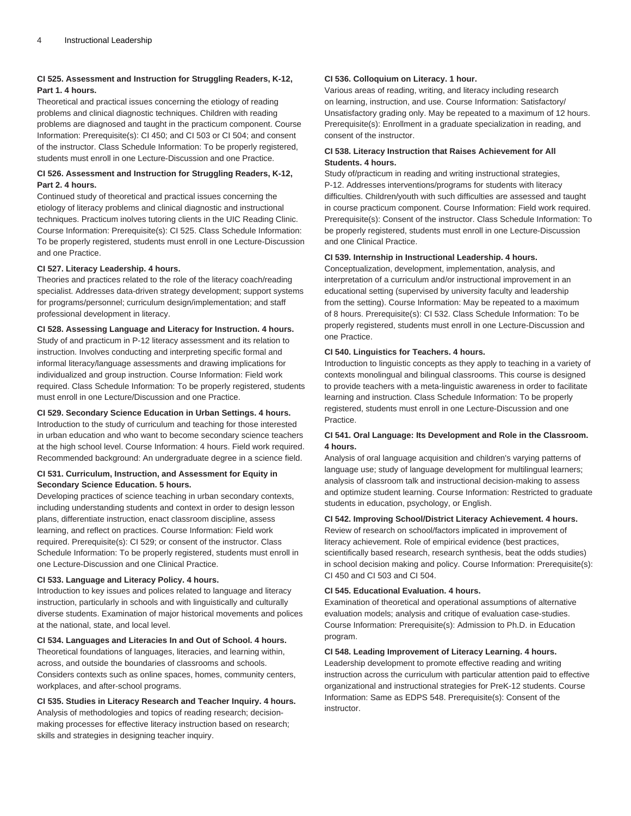# **CI 525. Assessment and Instruction for Struggling Readers, K-12, Part 1. 4 hours.**

Theoretical and practical issues concerning the etiology of reading problems and clinical diagnostic techniques. Children with reading problems are diagnosed and taught in the practicum component. Course Information: Prerequisite(s): CI 450; and CI 503 or CI 504; and consent of the instructor. Class Schedule Information: To be properly registered, students must enroll in one Lecture-Discussion and one Practice.

# **CI 526. Assessment and Instruction for Struggling Readers, K-12, Part 2. 4 hours.**

Continued study of theoretical and practical issues concerning the etiology of literacy problems and clinical diagnostic and instructional techniques. Practicum inolves tutoring clients in the UIC Reading Clinic. Course Information: Prerequisite(s): CI 525. Class Schedule Information: To be properly registered, students must enroll in one Lecture-Discussion and one Practice.

# **CI 527. Literacy Leadership. 4 hours.**

Theories and practices related to the role of the literacy coach/reading specialist. Addresses data-driven strategy development; support systems for programs/personnel; curriculum design/implementation; and staff professional development in literacy.

# **CI 528. Assessing Language and Literacy for Instruction. 4 hours.**

Study of and practicum in P-12 literacy assessment and its relation to instruction. Involves conducting and interpreting specific formal and informal literacy/language assessments and drawing implications for individualized and group instruction. Course Information: Field work required. Class Schedule Information: To be properly registered, students must enroll in one Lecture/Discussion and one Practice.

#### **CI 529. Secondary Science Education in Urban Settings. 4 hours.**

Introduction to the study of curriculum and teaching for those interested in urban education and who want to become secondary science teachers at the high school level. Course Information: 4 hours. Field work required. Recommended background: An undergraduate degree in a science field.

# **CI 531. Curriculum, Instruction, and Assessment for Equity in Secondary Science Education. 5 hours.**

Developing practices of science teaching in urban secondary contexts, including understanding students and context in order to design lesson plans, differentiate instruction, enact classroom discipline, assess learning, and reflect on practices. Course Information: Field work required. Prerequisite(s): CI 529; or consent of the instructor. Class Schedule Information: To be properly registered, students must enroll in one Lecture-Discussion and one Clinical Practice.

#### **CI 533. Language and Literacy Policy. 4 hours.**

Introduction to key issues and polices related to language and literacy instruction, particularly in schools and with linguistically and culturally diverse students. Examination of major historical movements and polices at the national, state, and local level.

# **CI 534. Languages and Literacies In and Out of School. 4 hours.**

Theoretical foundations of languages, literacies, and learning within, across, and outside the boundaries of classrooms and schools. Considers contexts such as online spaces, homes, community centers, workplaces, and after-school programs.

# **CI 535. Studies in Literacy Research and Teacher Inquiry. 4 hours.**

Analysis of methodologies and topics of reading research; decisionmaking processes for effective literacy instruction based on research; skills and strategies in designing teacher inquiry.

#### **CI 536. Colloquium on Literacy. 1 hour.**

Various areas of reading, writing, and literacy including research on learning, instruction, and use. Course Information: Satisfactory/ Unsatisfactory grading only. May be repeated to a maximum of 12 hours. Prerequisite(s): Enrollment in a graduate specialization in reading, and consent of the instructor.

# **CI 538. Literacy Instruction that Raises Achievement for All Students. 4 hours.**

Study of/practicum in reading and writing instructional strategies, P-12. Addresses interventions/programs for students with literacy difficulties. Children/youth with such difficulties are assessed and taught in course practicum component. Course Information: Field work required. Prerequisite(s): Consent of the instructor. Class Schedule Information: To be properly registered, students must enroll in one Lecture-Discussion and one Clinical Practice.

#### **CI 539. Internship in Instructional Leadership. 4 hours.**

Conceptualization, development, implementation, analysis, and interpretation of a curriculum and/or instructional improvement in an educational setting (supervised by university faculty and leadership from the setting). Course Information: May be repeated to a maximum of 8 hours. Prerequisite(s): CI 532. Class Schedule Information: To be properly registered, students must enroll in one Lecture-Discussion and one Practice.

#### **CI 540. Linguistics for Teachers. 4 hours.**

Introduction to linguistic concepts as they apply to teaching in a variety of contexts monolingual and bilingual classrooms. This course is designed to provide teachers with a meta-linguistic awareness in order to facilitate learning and instruction. Class Schedule Information: To be properly registered, students must enroll in one Lecture-Discussion and one Practice.

# **CI 541. Oral Language: Its Development and Role in the Classroom. 4 hours.**

Analysis of oral language acquisition and children's varying patterns of language use; study of language development for multilingual learners; analysis of classroom talk and instructional decision-making to assess and optimize student learning. Course Information: Restricted to graduate students in education, psychology, or English.

#### **CI 542. Improving School/District Literacy Achievement. 4 hours.**

Review of research on school/factors implicated in improvement of literacy achievement. Role of empirical evidence (best practices, scientifically based research, research synthesis, beat the odds studies) in school decision making and policy. Course Information: Prerequisite(s): CI 450 and CI 503 and CI 504.

# **CI 545. Educational Evaluation. 4 hours.**

Examination of theoretical and operational assumptions of alternative evaluation models; analysis and critique of evaluation case-studies. Course Information: Prerequisite(s): Admission to Ph.D. in Education program.

#### **CI 548. Leading Improvement of Literacy Learning. 4 hours.**

Leadership development to promote effective reading and writing instruction across the curriculum with particular attention paid to effective organizational and instructional strategies for PreK-12 students. Course Information: Same as EDPS 548. Prerequisite(s): Consent of the instructor.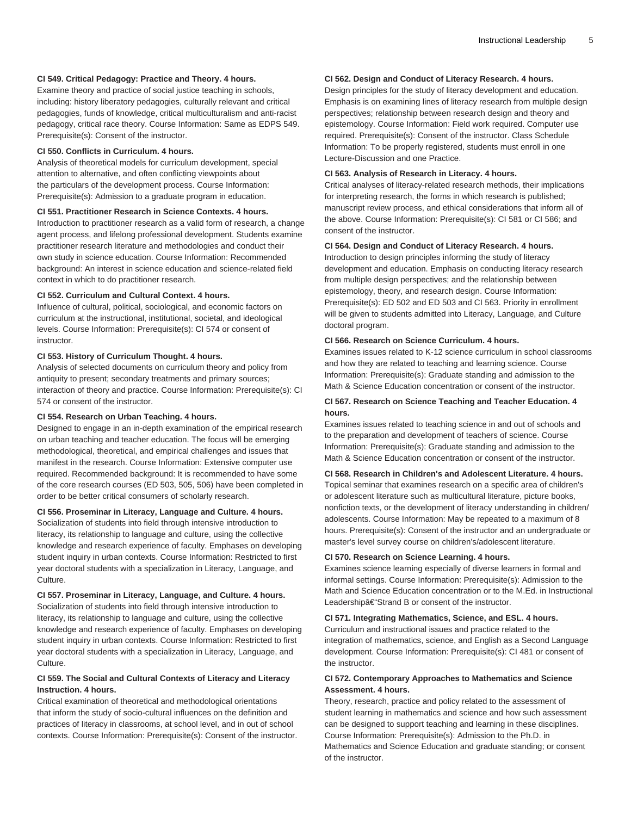# **CI 549. Critical Pedagogy: Practice and Theory. 4 hours.**

Examine theory and practice of social justice teaching in schools, including: history liberatory pedagogies, culturally relevant and critical pedagogies, funds of knowledge, critical multiculturalism and anti-racist pedagogy, critical race theory. Course Information: Same as EDPS 549. Prerequisite(s): Consent of the instructor.

#### **CI 550. Conflicts in Curriculum. 4 hours.**

Analysis of theoretical models for curriculum development, special attention to alternative, and often conflicting viewpoints about the particulars of the development process. Course Information: Prerequisite(s): Admission to a graduate program in education.

#### **CI 551. Practitioner Research in Science Contexts. 4 hours.**

Introduction to practitioner research as a valid form of research, a change agent process, and lifelong professional development. Students examine practitioner research literature and methodologies and conduct their own study in science education. Course Information: Recommended background: An interest in science education and science-related field context in which to do practitioner research.

#### **CI 552. Curriculum and Cultural Context. 4 hours.**

Influence of cultural, political, sociological, and economic factors on curriculum at the instructional, institutional, societal, and ideological levels. Course Information: Prerequisite(s): CI 574 or consent of instructor.

# **CI 553. History of Curriculum Thought. 4 hours.**

Analysis of selected documents on curriculum theory and policy from antiquity to present; secondary treatments and primary sources; interaction of theory and practice. Course Information: Prerequisite(s): CI 574 or consent of the instructor.

#### **CI 554. Research on Urban Teaching. 4 hours.**

Designed to engage in an in-depth examination of the empirical research on urban teaching and teacher education. The focus will be emerging methodological, theoretical, and empirical challenges and issues that manifest in the research. Course Information: Extensive computer use required. Recommended background: It is recommended to have some of the core research courses (ED 503, 505, 506) have been completed in order to be better critical consumers of scholarly research.

#### **CI 556. Proseminar in Literacy, Language and Culture. 4 hours.**

Socialization of students into field through intensive introduction to literacy, its relationship to language and culture, using the collective knowledge and research experience of faculty. Emphases on developing student inquiry in urban contexts. Course Information: Restricted to first year doctoral students with a specialization in Literacy, Language, and Culture.

#### **CI 557. Proseminar in Literacy, Language, and Culture. 4 hours.**

Socialization of students into field through intensive introduction to literacy, its relationship to language and culture, using the collective knowledge and research experience of faculty. Emphases on developing student inquiry in urban contexts. Course Information: Restricted to first year doctoral students with a specialization in Literacy, Language, and Culture.

# **CI 559. The Social and Cultural Contexts of Literacy and Literacy Instruction. 4 hours.**

Critical examination of theoretical and methodological orientations that inform the study of socio-cultural influences on the definition and practices of literacy in classrooms, at school level, and in out of school contexts. Course Information: Prerequisite(s): Consent of the instructor.

# **CI 562. Design and Conduct of Literacy Research. 4 hours.**

Design principles for the study of literacy development and education. Emphasis is on examining lines of literacy research from multiple design perspectives; relationship between research design and theory and epistemology. Course Information: Field work required. Computer use required. Prerequisite(s): Consent of the instructor. Class Schedule Information: To be properly registered, students must enroll in one Lecture-Discussion and one Practice.

#### **CI 563. Analysis of Research in Literacy. 4 hours.**

Critical analyses of literacy-related research methods, their implications for interpreting research, the forms in which research is published; manuscript review process, and ethical considerations that inform all of the above. Course Information: Prerequisite(s): CI 581 or CI 586; and consent of the instructor.

#### **CI 564. Design and Conduct of Literacy Research. 4 hours.**

Introduction to design principles informing the study of literacy development and education. Emphasis on conducting literacy research from multiple design perspectives; and the relationship between epistemology, theory, and research design. Course Information: Prerequisite(s): ED 502 and ED 503 and CI 563. Priority in enrollment will be given to students admitted into Literacy, Language, and Culture doctoral program.

# **CI 566. Research on Science Curriculum. 4 hours.**

Examines issues related to K-12 science curriculum in school classrooms and how they are related to teaching and learning science. Course Information: Prerequisite(s): Graduate standing and admission to the Math & Science Education concentration or consent of the instructor.

# **CI 567. Research on Science Teaching and Teacher Education. 4 hours.**

Examines issues related to teaching science in and out of schools and to the preparation and development of teachers of science. Course Information: Prerequisite(s): Graduate standing and admission to the Math & Science Education concentration or consent of the instructor.

# **CI 568. Research in Children's and Adolescent Literature. 4 hours.**

Topical seminar that examines research on a specific area of children's or adolescent literature such as multicultural literature, picture books, nonfiction texts, or the development of literacy understanding in children/ adolescents. Course Information: May be repeated to a maximum of 8 hours. Prerequisite(s): Consent of the instructor and an undergraduate or master's level survey course on children's/adolescent literature.

#### **CI 570. Research on Science Learning. 4 hours.**

Examines science learning especially of diverse learners in formal and informal settings. Course Information: Prerequisite(s): Admission to the Math and Science Education concentration or to the M.Ed. in Instructional Leadership $\hat{a} \in$ "Strand B or consent of the instructor.

# **CI 571. Integrating Mathematics, Science, and ESL. 4 hours.**

Curriculum and instructional issues and practice related to the integration of mathematics, science, and English as a Second Language development. Course Information: Prerequisite(s): CI 481 or consent of the instructor.

# **CI 572. Contemporary Approaches to Mathematics and Science Assessment. 4 hours.**

Theory, research, practice and policy related to the assessment of student learning in mathematics and science and how such assessment can be designed to support teaching and learning in these disciplines. Course Information: Prerequisite(s): Admission to the Ph.D. in Mathematics and Science Education and graduate standing; or consent of the instructor.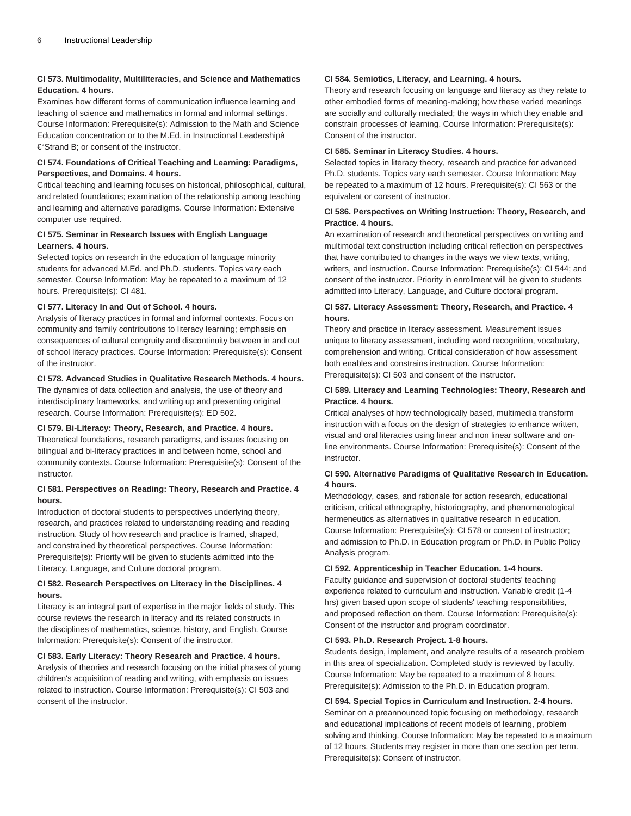# **CI 573. Multimodality, Multiliteracies, and Science and Mathematics Education. 4 hours.**

Examines how different forms of communication influence learning and teaching of science and mathematics in formal and informal settings. Course Information: Prerequisite(s): Admission to the Math and Science Education concentration or to the M.Ed. in Instructional Leadershipâ €"Strand B; or consent of the instructor.

# **CI 574. Foundations of Critical Teaching and Learning: Paradigms, Perspectives, and Domains. 4 hours.**

Critical teaching and learning focuses on historical, philosophical, cultural, and related foundations; examination of the relationship among teaching and learning and alternative paradigms. Course Information: Extensive computer use required.

# **CI 575. Seminar in Research Issues with English Language Learners. 4 hours.**

Selected topics on research in the education of language minority students for advanced M.Ed. and Ph.D. students. Topics vary each semester. Course Information: May be repeated to a maximum of 12 hours. Prerequisite(s): CI 481.

# **CI 577. Literacy In and Out of School. 4 hours.**

Analysis of literacy practices in formal and informal contexts. Focus on community and family contributions to literacy learning; emphasis on consequences of cultural congruity and discontinuity between in and out of school literacy practices. Course Information: Prerequisite(s): Consent of the instructor.

# **CI 578. Advanced Studies in Qualitative Research Methods. 4 hours.**

The dynamics of data collection and analysis, the use of theory and interdisciplinary frameworks, and writing up and presenting original research. Course Information: Prerequisite(s): ED 502.

# **CI 579. Bi-Literacy: Theory, Research, and Practice. 4 hours.**

Theoretical foundations, research paradigms, and issues focusing on bilingual and bi-literacy practices in and between home, school and community contexts. Course Information: Prerequisite(s): Consent of the instructor.

# **CI 581. Perspectives on Reading: Theory, Research and Practice. 4 hours.**

Introduction of doctoral students to perspectives underlying theory, research, and practices related to understanding reading and reading instruction. Study of how research and practice is framed, shaped, and constrained by theoretical perspectives. Course Information: Prerequisite(s): Priority will be given to students admitted into the Literacy, Language, and Culture doctoral program.

# **CI 582. Research Perspectives on Literacy in the Disciplines. 4 hours.**

Literacy is an integral part of expertise in the major fields of study. This course reviews the research in literacy and its related constructs in the disciplines of mathematics, science, history, and English. Course Information: Prerequisite(s): Consent of the instructor.

# **CI 583. Early Literacy: Theory Research and Practice. 4 hours.**

Analysis of theories and research focusing on the initial phases of young children's acquisition of reading and writing, with emphasis on issues related to instruction. Course Information: Prerequisite(s): CI 503 and consent of the instructor.

#### **CI 584. Semiotics, Literacy, and Learning. 4 hours.**

Theory and research focusing on language and literacy as they relate to other embodied forms of meaning-making; how these varied meanings are socially and culturally mediated; the ways in which they enable and constrain processes of learning. Course Information: Prerequisite(s): Consent of the instructor.

# **CI 585. Seminar in Literacy Studies. 4 hours.**

Selected topics in literacy theory, research and practice for advanced Ph.D. students. Topics vary each semester. Course Information: May be repeated to a maximum of 12 hours. Prerequisite(s): CI 563 or the equivalent or consent of instructor.

# **CI 586. Perspectives on Writing Instruction: Theory, Research, and Practice. 4 hours.**

An examination of research and theoretical perspectives on writing and multimodal text construction including critical reflection on perspectives that have contributed to changes in the ways we view texts, writing, writers, and instruction. Course Information: Prerequisite(s): CI 544; and consent of the instructor. Priority in enrollment will be given to students admitted into Literacy, Language, and Culture doctoral program.

# **CI 587. Literacy Assessment: Theory, Research, and Practice. 4 hours.**

Theory and practice in literacy assessment. Measurement issues unique to literacy assessment, including word recognition, vocabulary, comprehension and writing. Critical consideration of how assessment both enables and constrains instruction. Course Information: Prerequisite(s): CI 503 and consent of the instructor.

# **CI 589. Literacy and Learning Technologies: Theory, Research and Practice. 4 hours.**

Critical analyses of how technologically based, multimedia transform instruction with a focus on the design of strategies to enhance written, visual and oral literacies using linear and non linear software and online environments. Course Information: Prerequisite(s): Consent of the instructor.

# **CI 590. Alternative Paradigms of Qualitative Research in Education. 4 hours.**

Methodology, cases, and rationale for action research, educational criticism, critical ethnography, historiography, and phenomenological hermeneutics as alternatives in qualitative research in education. Course Information: Prerequisite(s): CI 578 or consent of instructor; and admission to Ph.D. in Education program or Ph.D. in Public Policy Analysis program.

# **CI 592. Apprenticeship in Teacher Education. 1-4 hours.**

Faculty guidance and supervision of doctoral students' teaching experience related to curriculum and instruction. Variable credit (1-4 hrs) given based upon scope of students' teaching responsibilities, and proposed reflection on them. Course Information: Prerequisite(s): Consent of the instructor and program coordinator.

# **CI 593. Ph.D. Research Project. 1-8 hours.**

Students design, implement, and analyze results of a research problem in this area of specialization. Completed study is reviewed by faculty. Course Information: May be repeated to a maximum of 8 hours. Prerequisite(s): Admission to the Ph.D. in Education program.

**CI 594. Special Topics in Curriculum and Instruction. 2-4 hours.** Seminar on a preannounced topic focusing on methodology, research and educational implications of recent models of learning, problem solving and thinking. Course Information: May be repeated to a maximum of 12 hours. Students may register in more than one section per term. Prerequisite(s): Consent of instructor.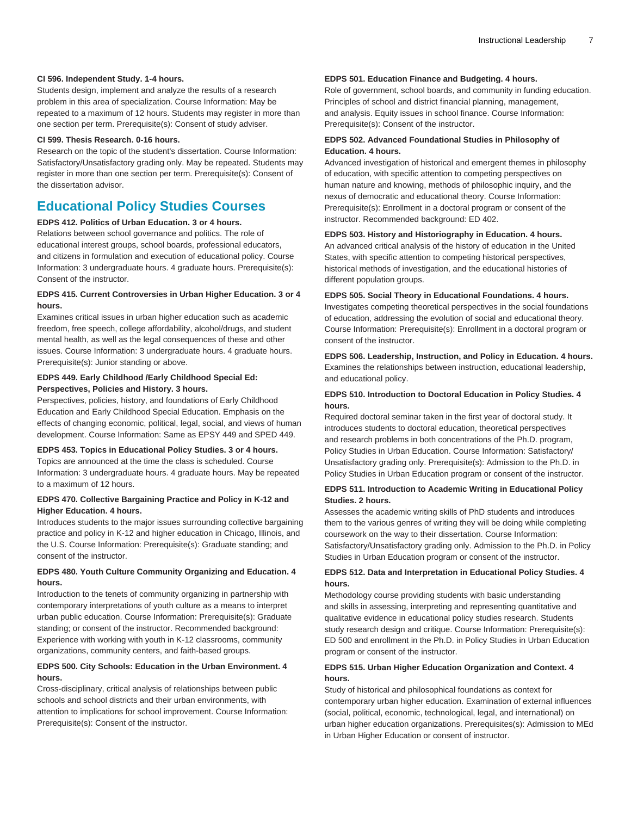#### **CI 596. Independent Study. 1-4 hours.**

Students design, implement and analyze the results of a research problem in this area of specialization. Course Information: May be repeated to a maximum of 12 hours. Students may register in more than one section per term. Prerequisite(s): Consent of study adviser.

#### **CI 599. Thesis Research. 0-16 hours.**

Research on the topic of the student's dissertation. Course Information: Satisfactory/Unsatisfactory grading only. May be repeated. Students may register in more than one section per term. Prerequisite(s): Consent of the dissertation advisor.

# <span id="page-6-0"></span>**Educational Policy Studies Courses**

#### **EDPS 412. Politics of Urban Education. 3 or 4 hours.**

Relations between school governance and politics. The role of educational interest groups, school boards, professional educators, and citizens in formulation and execution of educational policy. Course Information: 3 undergraduate hours. 4 graduate hours. Prerequisite(s): Consent of the instructor.

# **EDPS 415. Current Controversies in Urban Higher Education. 3 or 4 hours.**

Examines critical issues in urban higher education such as academic freedom, free speech, college affordability, alcohol/drugs, and student mental health, as well as the legal consequences of these and other issues. Course Information: 3 undergraduate hours. 4 graduate hours. Prerequisite(s): Junior standing or above.

# **EDPS 449. Early Childhood /Early Childhood Special Ed: Perspectives, Policies and History. 3 hours.**

Perspectives, policies, history, and foundations of Early Childhood Education and Early Childhood Special Education. Emphasis on the effects of changing economic, political, legal, social, and views of human development. Course Information: Same as EPSY 449 and SPED 449.

# **EDPS 453. Topics in Educational Policy Studies. 3 or 4 hours.**

Topics are announced at the time the class is scheduled. Course Information: 3 undergraduate hours. 4 graduate hours. May be repeated to a maximum of 12 hours.

# **EDPS 470. Collective Bargaining Practice and Policy in K-12 and Higher Education. 4 hours.**

Introduces students to the major issues surrounding collective bargaining practice and policy in K-12 and higher education in Chicago, Illinois, and the U.S. Course Information: Prerequisite(s): Graduate standing; and consent of the instructor.

# **EDPS 480. Youth Culture Community Organizing and Education. 4 hours.**

Introduction to the tenets of community organizing in partnership with contemporary interpretations of youth culture as a means to interpret urban public education. Course Information: Prerequisite(s): Graduate standing; or consent of the instructor. Recommended background: Experience with working with youth in K-12 classrooms, community organizations, community centers, and faith-based groups.

# **EDPS 500. City Schools: Education in the Urban Environment. 4 hours.**

Cross-disciplinary, critical analysis of relationships between public schools and school districts and their urban environments, with attention to implications for school improvement. Course Information: Prerequisite(s): Consent of the instructor.

# **EDPS 501. Education Finance and Budgeting. 4 hours.**

Role of government, school boards, and community in funding education. Principles of school and district financial planning, management, and analysis. Equity issues in school finance. Course Information: Prerequisite(s): Consent of the instructor.

#### **EDPS 502. Advanced Foundational Studies in Philosophy of Education. 4 hours.**

Advanced investigation of historical and emergent themes in philosophy of education, with specific attention to competing perspectives on human nature and knowing, methods of philosophic inquiry, and the nexus of democratic and educational theory. Course Information: Prerequisite(s): Enrollment in a doctoral program or consent of the instructor. Recommended background: ED 402.

#### **EDPS 503. History and Historiography in Education. 4 hours.**

An advanced critical analysis of the history of education in the United States, with specific attention to competing historical perspectives, historical methods of investigation, and the educational histories of different population groups.

#### **EDPS 505. Social Theory in Educational Foundations. 4 hours.**

Investigates competing theoretical perspectives in the social foundations of education, addressing the evolution of social and educational theory. Course Information: Prerequisite(s): Enrollment in a doctoral program or consent of the instructor.

# **EDPS 506. Leadership, Instruction, and Policy in Education. 4 hours.** Examines the relationships between instruction, educational leadership, and educational policy.

# **EDPS 510. Introduction to Doctoral Education in Policy Studies. 4 hours.**

Required doctoral seminar taken in the first year of doctoral study. It introduces students to doctoral education, theoretical perspectives and research problems in both concentrations of the Ph.D. program, Policy Studies in Urban Education. Course Information: Satisfactory/ Unsatisfactory grading only. Prerequisite(s): Admission to the Ph.D. in Policy Studies in Urban Education program or consent of the instructor.

#### **EDPS 511. Introduction to Academic Writing in Educational Policy Studies. 2 hours.**

Assesses the academic writing skills of PhD students and introduces them to the various genres of writing they will be doing while completing coursework on the way to their dissertation. Course Information: Satisfactory/Unsatisfactory grading only. Admission to the Ph.D. in Policy Studies in Urban Education program or consent of the instructor.

# **EDPS 512. Data and Interpretation in Educational Policy Studies. 4 hours.**

Methodology course providing students with basic understanding and skills in assessing, interpreting and representing quantitative and qualitative evidence in educational policy studies research. Students study research design and critique. Course Information: Prerequisite(s): ED 500 and enrollment in the Ph.D. in Policy Studies in Urban Education program or consent of the instructor.

# **EDPS 515. Urban Higher Education Organization and Context. 4 hours.**

Study of historical and philosophical foundations as context for contemporary urban higher education. Examination of external influences (social, political, economic, technological, legal, and international) on urban higher education organizations. Prerequisites(s): Admission to MEd in Urban Higher Education or consent of instructor.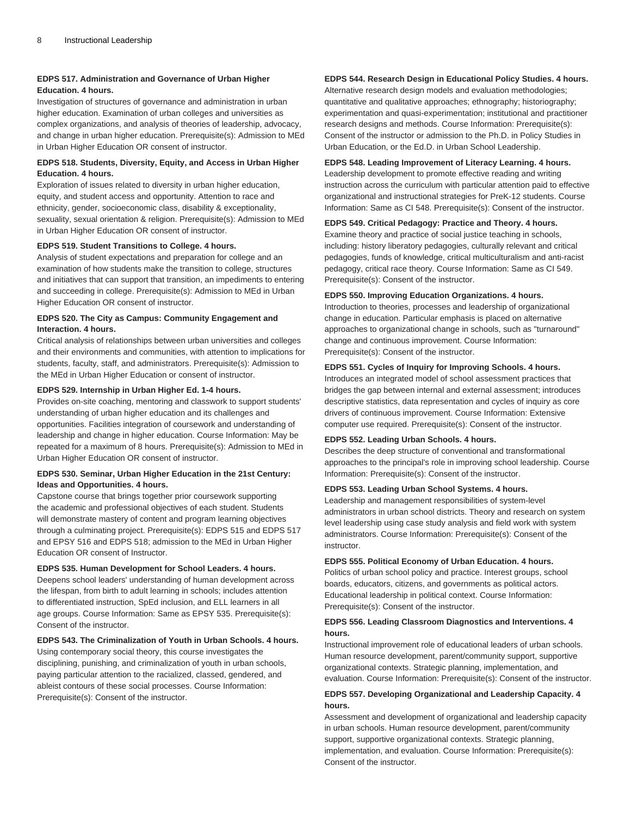# **EDPS 517. Administration and Governance of Urban Higher Education. 4 hours.**

Investigation of structures of governance and administration in urban higher education. Examination of urban colleges and universities as complex organizations, and analysis of theories of leadership, advocacy, and change in urban higher education. Prerequisite(s): Admission to MEd in Urban Higher Education OR consent of instructor.

# **EDPS 518. Students, Diversity, Equity, and Access in Urban Higher Education. 4 hours.**

Exploration of issues related to diversity in urban higher education, equity, and student access and opportunity. Attention to race and ethnicity, gender, socioeconomic class, disability & exceptionality, sexuality, sexual orientation & religion. Prerequisite(s): Admission to MEd in Urban Higher Education OR consent of instructor.

#### **EDPS 519. Student Transitions to College. 4 hours.**

Analysis of student expectations and preparation for college and an examination of how students make the transition to college, structures and initiatives that can support that transition, an impediments to entering and succeeding in college. Prerequisite(s): Admission to MEd in Urban Higher Education OR consent of instructor.

# **EDPS 520. The City as Campus: Community Engagement and Interaction. 4 hours.**

Critical analysis of relationships between urban universities and colleges and their environments and communities, with attention to implications for students, faculty, staff, and administrators. Prerequisite(s): Admission to the MEd in Urban Higher Education or consent of instructor.

# **EDPS 529. Internship in Urban Higher Ed. 1-4 hours.**

Provides on-site coaching, mentoring and classwork to support students' understanding of urban higher education and its challenges and opportunities. Facilities integration of coursework and understanding of leadership and change in higher education. Course Information: May be repeated for a maximum of 8 hours. Prerequisite(s): Admission to MEd in Urban Higher Education OR consent of instructor.

#### **EDPS 530. Seminar, Urban Higher Education in the 21st Century: Ideas and Opportunities. 4 hours.**

Capstone course that brings together prior coursework supporting the academic and professional objectives of each student. Students will demonstrate mastery of content and program learning objectives through a culminating project. Prerequisite(s): EDPS 515 and EDPS 517 and EPSY 516 and EDPS 518; admission to the MEd in Urban Higher Education OR consent of Instructor.

#### **EDPS 535. Human Development for School Leaders. 4 hours.**

Deepens school leaders' understanding of human development across the lifespan, from birth to adult learning in schools; includes attention to differentiated instruction, SpEd inclusion, and ELL learners in all age groups. Course Information: Same as EPSY 535. Prerequisite(s): Consent of the instructor.

# **EDPS 543. The Criminalization of Youth in Urban Schools. 4 hours.**

Using contemporary social theory, this course investigates the disciplining, punishing, and criminalization of youth in urban schools, paying particular attention to the racialized, classed, gendered, and ableist contours of these social processes. Course Information: Prerequisite(s): Consent of the instructor.

# **EDPS 544. Research Design in Educational Policy Studies. 4 hours.**

Alternative research design models and evaluation methodologies; quantitative and qualitative approaches; ethnography; historiography; experimentation and quasi-experimentation; institutional and practitioner research designs and methods. Course Information: Prerequisite(s): Consent of the instructor or admission to the Ph.D. in Policy Studies in Urban Education, or the Ed.D. in Urban School Leadership.

# **EDPS 548. Leading Improvement of Literacy Learning. 4 hours.**

Leadership development to promote effective reading and writing instruction across the curriculum with particular attention paid to effective organizational and instructional strategies for PreK-12 students. Course Information: Same as CI 548. Prerequisite(s): Consent of the instructor.

#### **EDPS 549. Critical Pedagogy: Practice and Theory. 4 hours.**

Examine theory and practice of social justice teaching in schools, including: history liberatory pedagogies, culturally relevant and critical pedagogies, funds of knowledge, critical multiculturalism and anti-racist pedagogy, critical race theory. Course Information: Same as CI 549. Prerequisite(s): Consent of the instructor.

#### **EDPS 550. Improving Education Organizations. 4 hours.**

Introduction to theories, processes and leadership of organizational change in education. Particular emphasis is placed on alternative approaches to organizational change in schools, such as "turnaround" change and continuous improvement. Course Information: Prerequisite(s): Consent of the instructor.

## **EDPS 551. Cycles of Inquiry for Improving Schools. 4 hours.**

Introduces an integrated model of school assessment practices that bridges the gap between internal and external assessment; introduces descriptive statistics, data representation and cycles of inquiry as core drivers of continuous improvement. Course Information: Extensive computer use required. Prerequisite(s): Consent of the instructor.

#### **EDPS 552. Leading Urban Schools. 4 hours.**

Describes the deep structure of conventional and transformational approaches to the principal's role in improving school leadership. Course Information: Prerequisite(s): Consent of the instructor.

#### **EDPS 553. Leading Urban School Systems. 4 hours.**

Leadership and management responsibilities of system-level administrators in urban school districts. Theory and research on system level leadership using case study analysis and field work with system administrators. Course Information: Prerequisite(s): Consent of the instructor.

#### **EDPS 555. Political Economy of Urban Education. 4 hours.**

Politics of urban school policy and practice. Interest groups, school boards, educators, citizens, and governments as political actors. Educational leadership in political context. Course Information: Prerequisite(s): Consent of the instructor.

#### **EDPS 556. Leading Classroom Diagnostics and Interventions. 4 hours.**

Instructional improvement role of educational leaders of urban schools. Human resource development, parent/community support, supportive organizational contexts. Strategic planning, implementation, and evaluation. Course Information: Prerequisite(s): Consent of the instructor.

#### **EDPS 557. Developing Organizational and Leadership Capacity. 4 hours.**

Assessment and development of organizational and leadership capacity in urban schools. Human resource development, parent/community support, supportive organizational contexts. Strategic planning, implementation, and evaluation. Course Information: Prerequisite(s): Consent of the instructor.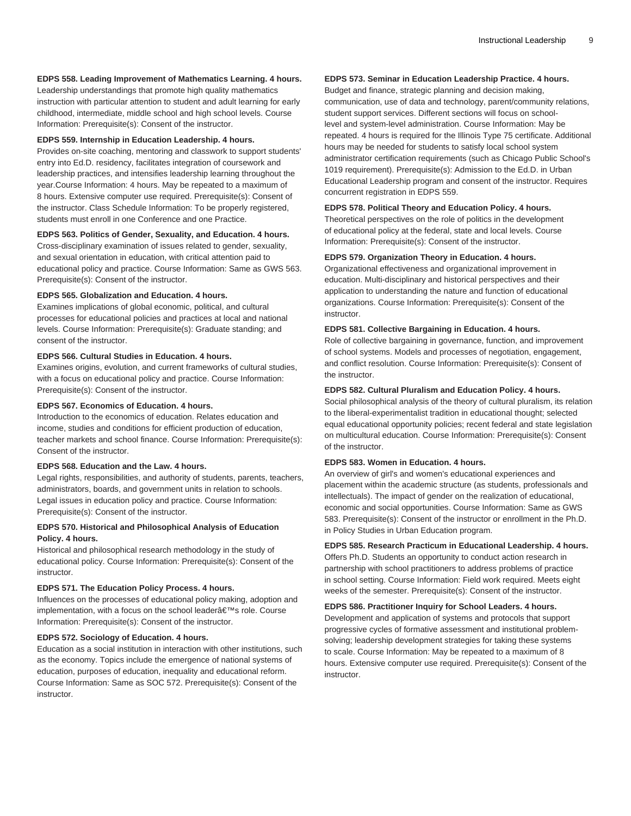#### **EDPS 558. Leading Improvement of Mathematics Learning. 4 hours.**

Leadership understandings that promote high quality mathematics instruction with particular attention to student and adult learning for early childhood, intermediate, middle school and high school levels. Course Information: Prerequisite(s): Consent of the instructor.

#### **EDPS 559. Internship in Education Leadership. 4 hours.**

Provides on-site coaching, mentoring and classwork to support students' entry into Ed.D. residency, facilitates integration of coursework and leadership practices, and intensifies leadership learning throughout the year.Course Information: 4 hours. May be repeated to a maximum of 8 hours. Extensive computer use required. Prerequisite(s): Consent of the instructor. Class Schedule Information: To be properly registered, students must enroll in one Conference and one Practice.

#### **EDPS 563. Politics of Gender, Sexuality, and Education. 4 hours.**

Cross-disciplinary examination of issues related to gender, sexuality, and sexual orientation in education, with critical attention paid to educational policy and practice. Course Information: Same as GWS 563. Prerequisite(s): Consent of the instructor.

#### **EDPS 565. Globalization and Education. 4 hours.**

Examines implications of global economic, political, and cultural processes for educational policies and practices at local and national levels. Course Information: Prerequisite(s): Graduate standing; and consent of the instructor.

# **EDPS 566. Cultural Studies in Education. 4 hours.**

Examines origins, evolution, and current frameworks of cultural studies, with a focus on educational policy and practice. Course Information: Prerequisite(s): Consent of the instructor.

#### **EDPS 567. Economics of Education. 4 hours.**

Introduction to the economics of education. Relates education and income, studies and conditions for efficient production of education, teacher markets and school finance. Course Information: Prerequisite(s): Consent of the instructor.

# **EDPS 568. Education and the Law. 4 hours.**

Legal rights, responsibilities, and authority of students, parents, teachers, administrators, boards, and government units in relation to schools. Legal issues in education policy and practice. Course Information: Prerequisite(s): Consent of the instructor.

# **EDPS 570. Historical and Philosophical Analysis of Education Policy. 4 hours.**

Historical and philosophical research methodology in the study of educational policy. Course Information: Prerequisite(s): Consent of the instructor.

#### **EDPS 571. The Education Policy Process. 4 hours.**

Influences on the processes of educational policy making, adoption and implementation, with a focus on the school leader's role. Course Information: Prerequisite(s): Consent of the instructor.

#### **EDPS 572. Sociology of Education. 4 hours.**

Education as a social institution in interaction with other institutions, such as the economy. Topics include the emergence of national systems of education, purposes of education, inequality and educational reform. Course Information: Same as SOC 572. Prerequisite(s): Consent of the instructor.

# **EDPS 573. Seminar in Education Leadership Practice. 4 hours.**

Budget and finance, strategic planning and decision making, communication, use of data and technology, parent/community relations, student support services. Different sections will focus on schoollevel and system-level administration. Course Information: May be repeated. 4 hours is required for the Illinois Type 75 certificate. Additional hours may be needed for students to satisfy local school system administrator certification requirements (such as Chicago Public School's 1019 requirement). Prerequisite(s): Admission to the Ed.D. in Urban Educational Leadership program and consent of the instructor. Requires concurrent registration in EDPS 559.

#### **EDPS 578. Political Theory and Education Policy. 4 hours.**

Theoretical perspectives on the role of politics in the development of educational policy at the federal, state and local levels. Course Information: Prerequisite(s): Consent of the instructor.

#### **EDPS 579. Organization Theory in Education. 4 hours.**

Organizational effectiveness and organizational improvement in education. Multi-disciplinary and historical perspectives and their application to understanding the nature and function of educational organizations. Course Information: Prerequisite(s): Consent of the instructor.

#### **EDPS 581. Collective Bargaining in Education. 4 hours.**

Role of collective bargaining in governance, function, and improvement of school systems. Models and processes of negotiation, engagement, and conflict resolution. Course Information: Prerequisite(s): Consent of the instructor.

# **EDPS 582. Cultural Pluralism and Education Policy. 4 hours.**

Social philosophical analysis of the theory of cultural pluralism, its relation to the liberal-experimentalist tradition in educational thought; selected equal educational opportunity policies; recent federal and state legislation on multicultural education. Course Information: Prerequisite(s): Consent of the instructor.

## **EDPS 583. Women in Education. 4 hours.**

An overview of girl's and women's educational experiences and placement within the academic structure (as students, professionals and intellectuals). The impact of gender on the realization of educational, economic and social opportunities. Course Information: Same as GWS 583. Prerequisite(s): Consent of the instructor or enrollment in the Ph.D. in Policy Studies in Urban Education program.

#### **EDPS 585. Research Practicum in Educational Leadership. 4 hours.**

Offers Ph.D. Students an opportunity to conduct action research in partnership with school practitioners to address problems of practice in school setting. Course Information: Field work required. Meets eight weeks of the semester. Prerequisite(s): Consent of the instructor.

# **EDPS 586. Practitioner Inquiry for School Leaders. 4 hours.**

Development and application of systems and protocols that support progressive cycles of formative assessment and institutional problemsolving; leadership development strategies for taking these systems to scale. Course Information: May be repeated to a maximum of 8 hours. Extensive computer use required. Prerequisite(s): Consent of the instructor.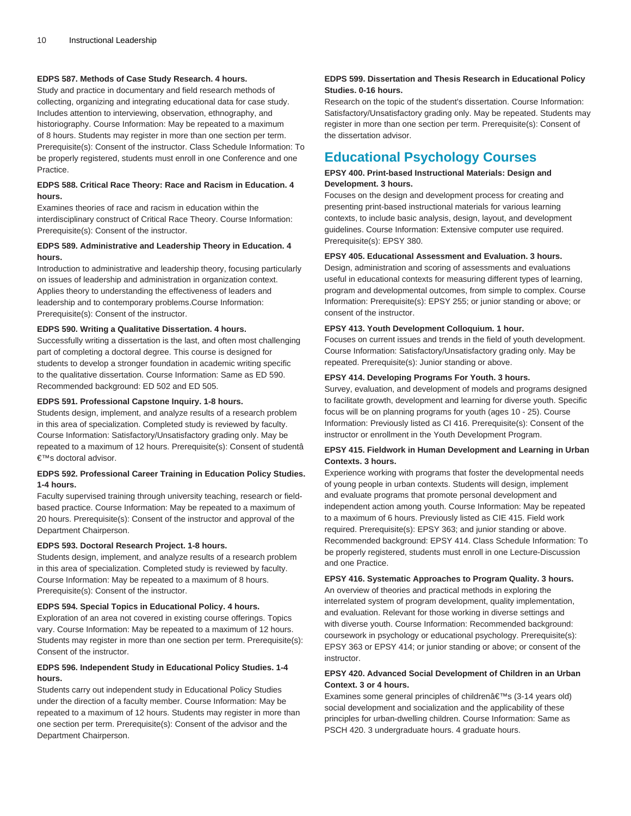# **EDPS 587. Methods of Case Study Research. 4 hours.**

Study and practice in documentary and field research methods of collecting, organizing and integrating educational data for case study. Includes attention to interviewing, observation, ethnography, and historiography. Course Information: May be repeated to a maximum of 8 hours. Students may register in more than one section per term. Prerequisite(s): Consent of the instructor. Class Schedule Information: To be properly registered, students must enroll in one Conference and one Practice.

# **EDPS 588. Critical Race Theory: Race and Racism in Education. 4 hours.**

Examines theories of race and racism in education within the interdisciplinary construct of Critical Race Theory. Course Information: Prerequisite(s): Consent of the instructor.

# **EDPS 589. Administrative and Leadership Theory in Education. 4 hours.**

Introduction to administrative and leadership theory, focusing particularly on issues of leadership and administration in organization context. Applies theory to understanding the effectiveness of leaders and leadership and to contemporary problems.Course Information: Prerequisite(s): Consent of the instructor.

# **EDPS 590. Writing a Qualitative Dissertation. 4 hours.**

Successfully writing a dissertation is the last, and often most challenging part of completing a doctoral degree. This course is designed for students to develop a stronger foundation in academic writing specific to the qualitative dissertation. Course Information: Same as ED 590. Recommended background: ED 502 and ED 505.

# **EDPS 591. Professional Capstone Inquiry. 1-8 hours.**

Students design, implement, and analyze results of a research problem in this area of specialization. Completed study is reviewed by faculty. Course Information: Satisfactory/Unsatisfactory grading only. May be repeated to a maximum of 12 hours. Prerequisite(s): Consent of studentâ €™s doctoral advisor.

## **EDPS 592. Professional Career Training in Education Policy Studies. 1-4 hours.**

Faculty supervised training through university teaching, research or fieldbased practice. Course Information: May be repeated to a maximum of 20 hours. Prerequisite(s): Consent of the instructor and approval of the Department Chairperson.

#### **EDPS 593. Doctoral Research Project. 1-8 hours.**

Students design, implement, and analyze results of a research problem in this area of specialization. Completed study is reviewed by faculty. Course Information: May be repeated to a maximum of 8 hours. Prerequisite(s): Consent of the instructor.

# **EDPS 594. Special Topics in Educational Policy. 4 hours.**

Exploration of an area not covered in existing course offerings. Topics vary. Course Information: May be repeated to a maximum of 12 hours. Students may register in more than one section per term. Prerequisite(s): Consent of the instructor.

# **EDPS 596. Independent Study in Educational Policy Studies. 1-4 hours.**

Students carry out independent study in Educational Policy Studies under the direction of a faculty member. Course Information: May be repeated to a maximum of 12 hours. Students may register in more than one section per term. Prerequisite(s): Consent of the advisor and the Department Chairperson.

# **EDPS 599. Dissertation and Thesis Research in Educational Policy Studies. 0-16 hours.**

Research on the topic of the student's dissertation. Course Information: Satisfactory/Unsatisfactory grading only. May be repeated. Students may register in more than one section per term. Prerequisite(s): Consent of the dissertation advisor.

# <span id="page-9-0"></span>**Educational Psychology Courses**

# **EPSY 400. Print-based Instructional Materials: Design and Development. 3 hours.**

Focuses on the design and development process for creating and presenting print-based instructional materials for various learning contexts, to include basic analysis, design, layout, and development guidelines. Course Information: Extensive computer use required. Prerequisite(s): EPSY 380.

#### **EPSY 405. Educational Assessment and Evaluation. 3 hours.**

Design, administration and scoring of assessments and evaluations useful in educational contexts for measuring different types of learning, program and developmental outcomes, from simple to complex. Course Information: Prerequisite(s): EPSY 255; or junior standing or above; or consent of the instructor.

#### **EPSY 413. Youth Development Colloquium. 1 hour.**

Focuses on current issues and trends in the field of youth development. Course Information: Satisfactory/Unsatisfactory grading only. May be repeated. Prerequisite(s): Junior standing or above.

#### **EPSY 414. Developing Programs For Youth. 3 hours.**

Survey, evaluation, and development of models and programs designed to facilitate growth, development and learning for diverse youth. Specific focus will be on planning programs for youth (ages 10 - 25). Course Information: Previously listed as CI 416. Prerequisite(s): Consent of the instructor or enrollment in the Youth Development Program.

# **EPSY 415. Fieldwork in Human Development and Learning in Urban Contexts. 3 hours.**

Experience working with programs that foster the developmental needs of young people in urban contexts. Students will design, implement and evaluate programs that promote personal development and independent action among youth. Course Information: May be repeated to a maximum of 6 hours. Previously listed as CIE 415. Field work required. Prerequisite(s): EPSY 363; and junior standing or above. Recommended background: EPSY 414. Class Schedule Information: To be properly registered, students must enroll in one Lecture-Discussion and one Practice.

**EPSY 416. Systematic Approaches to Program Quality. 3 hours.** An overview of theories and practical methods in exploring the interrelated system of program development, quality implementation, and evaluation. Relevant for those working in diverse settings and with diverse youth. Course Information: Recommended background: coursework in psychology or educational psychology. Prerequisite(s): EPSY 363 or EPSY 414; or junior standing or above; or consent of the instructor.

# **EPSY 420. Advanced Social Development of Children in an Urban Context. 3 or 4 hours.**

Examines some general principles of children $\hat{a} \in \text{TMs}$  (3-14 years old) social development and socialization and the applicability of these principles for urban-dwelling children. Course Information: Same as PSCH 420. 3 undergraduate hours. 4 graduate hours.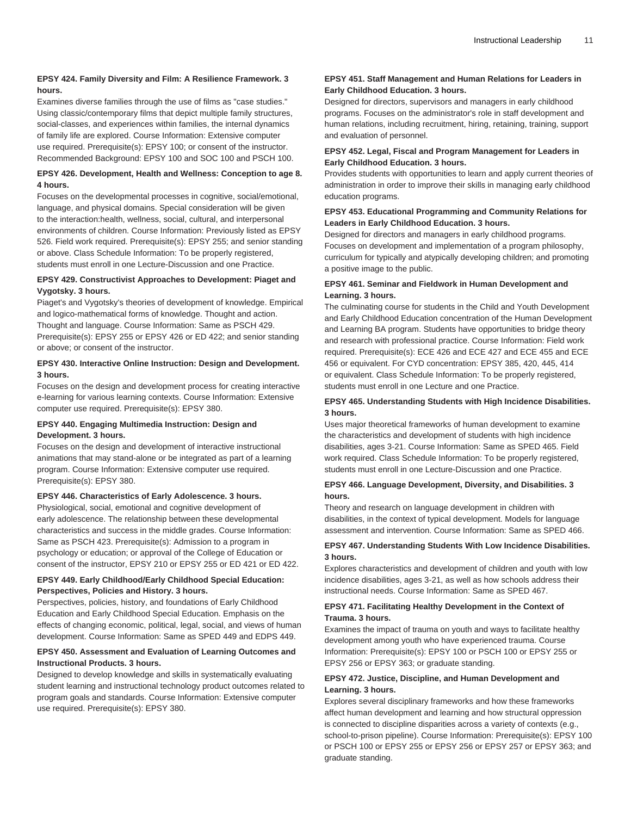# **EPSY 424. Family Diversity and Film: A Resilience Framework. 3 hours.**

Examines diverse families through the use of films as "case studies." Using classic/contemporary films that depict multiple family structures, social-classes, and experiences within families, the internal dynamics of family life are explored. Course Information: Extensive computer use required. Prerequisite(s): EPSY 100; or consent of the instructor. Recommended Background: EPSY 100 and SOC 100 and PSCH 100.

# **EPSY 426. Development, Health and Wellness: Conception to age 8. 4 hours.**

Focuses on the developmental processes in cognitive, social/emotional, language, and physical domains. Special consideration will be given to the interaction:health, wellness, social, cultural, and interpersonal environments of children. Course Information: Previously listed as EPSY 526. Field work required. Prerequisite(s): EPSY 255; and senior standing or above. Class Schedule Information: To be properly registered, students must enroll in one Lecture-Discussion and one Practice.

# **EPSY 429. Constructivist Approaches to Development: Piaget and Vygotsky. 3 hours.**

Piaget's and Vygotsky's theories of development of knowledge. Empirical and logico-mathematical forms of knowledge. Thought and action. Thought and language. Course Information: Same as PSCH 429. Prerequisite(s): EPSY 255 or EPSY 426 or ED 422; and senior standing or above; or consent of the instructor.

# **EPSY 430. Interactive Online Instruction: Design and Development. 3 hours.**

Focuses on the design and development process for creating interactive e-learning for various learning contexts. Course Information: Extensive computer use required. Prerequisite(s): EPSY 380.

# **EPSY 440. Engaging Multimedia Instruction: Design and Development. 3 hours.**

Focuses on the design and development of interactive instructional animations that may stand-alone or be integrated as part of a learning program. Course Information: Extensive computer use required. Prerequisite(s): EPSY 380.

# **EPSY 446. Characteristics of Early Adolescence. 3 hours.**

Physiological, social, emotional and cognitive development of early adolescence. The relationship between these developmental characteristics and success in the middle grades. Course Information: Same as PSCH 423. Prerequisite(s): Admission to a program in psychology or education; or approval of the College of Education or consent of the instructor, EPSY 210 or EPSY 255 or ED 421 or ED 422.

# **EPSY 449. Early Childhood/Early Childhood Special Education: Perspectives, Policies and History. 3 hours.**

Perspectives, policies, history, and foundations of Early Childhood Education and Early Childhood Special Education. Emphasis on the effects of changing economic, political, legal, social, and views of human development. Course Information: Same as SPED 449 and EDPS 449.

# **EPSY 450. Assessment and Evaluation of Learning Outcomes and Instructional Products. 3 hours.**

Designed to develop knowledge and skills in systematically evaluating student learning and instructional technology product outcomes related to program goals and standards. Course Information: Extensive computer use required. Prerequisite(s): EPSY 380.

# **EPSY 451. Staff Management and Human Relations for Leaders in Early Childhood Education. 3 hours.**

Designed for directors, supervisors and managers in early childhood programs. Focuses on the administrator's role in staff development and human relations, including recruitment, hiring, retaining, training, support and evaluation of personnel.

# **EPSY 452. Legal, Fiscal and Program Management for Leaders in Early Childhood Education. 3 hours.**

Provides students with opportunities to learn and apply current theories of administration in order to improve their skills in managing early childhood education programs.

# **EPSY 453. Educational Programming and Community Relations for Leaders in Early Childhood Education. 3 hours.**

Designed for directors and managers in early childhood programs. Focuses on development and implementation of a program philosophy, curriculum for typically and atypically developing children; and promoting a positive image to the public.

# **EPSY 461. Seminar and Fieldwork in Human Development and Learning. 3 hours.**

The culminating course for students in the Child and Youth Development and Early Childhood Education concentration of the Human Development and Learning BA program. Students have opportunities to bridge theory and research with professional practice. Course Information: Field work required. Prerequisite(s): ECE 426 and ECE 427 and ECE 455 and ECE 456 or equivalent. For CYD concentration: EPSY 385, 420, 445, 414 or equivalent. Class Schedule Information: To be properly registered, students must enroll in one Lecture and one Practice.

# **EPSY 465. Understanding Students with High Incidence Disabilities. 3 hours.**

Uses major theoretical frameworks of human development to examine the characteristics and development of students with high incidence disabilities, ages 3-21. Course Information: Same as SPED 465. Field work required. Class Schedule Information: To be properly registered, students must enroll in one Lecture-Discussion and one Practice.

# **EPSY 466. Language Development, Diversity, and Disabilities. 3 hours.**

Theory and research on language development in children with disabilities, in the context of typical development. Models for language assessment and intervention. Course Information: Same as SPED 466.

# **EPSY 467. Understanding Students With Low Incidence Disabilities. 3 hours.**

Explores characteristics and development of children and youth with low incidence disabilities, ages 3-21, as well as how schools address their instructional needs. Course Information: Same as SPED 467.

# **EPSY 471. Facilitating Healthy Development in the Context of Trauma. 3 hours.**

Examines the impact of trauma on youth and ways to facilitate healthy development among youth who have experienced trauma. Course Information: Prerequisite(s): EPSY 100 or PSCH 100 or EPSY 255 or EPSY 256 or EPSY 363; or graduate standing.

# **EPSY 472. Justice, Discipline, and Human Development and Learning. 3 hours.**

Explores several disciplinary frameworks and how these frameworks affect human development and learning and how structural oppression is connected to discipline disparities across a variety of contexts (e.g., school-to-prison pipeline). Course Information: Prerequisite(s): EPSY 100 or PSCH 100 or EPSY 255 or EPSY 256 or EPSY 257 or EPSY 363; and graduate standing.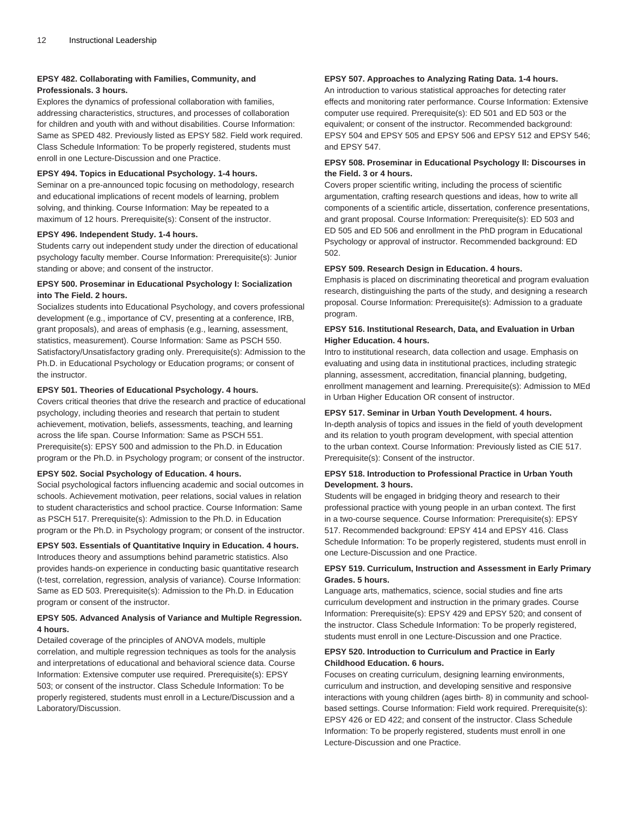# **EPSY 482. Collaborating with Families, Community, and Professionals. 3 hours.**

Explores the dynamics of professional collaboration with families, addressing characteristics, structures, and processes of collaboration for children and youth with and without disabilities. Course Information: Same as SPED 482. Previously listed as EPSY 582. Field work required. Class Schedule Information: To be properly registered, students must enroll in one Lecture-Discussion and one Practice.

#### **EPSY 494. Topics in Educational Psychology. 1-4 hours.**

Seminar on a pre-announced topic focusing on methodology, research and educational implications of recent models of learning, problem solving, and thinking. Course Information: May be repeated to a maximum of 12 hours. Prerequisite(s): Consent of the instructor.

#### **EPSY 496. Independent Study. 1-4 hours.**

Students carry out independent study under the direction of educational psychology faculty member. Course Information: Prerequisite(s): Junior standing or above; and consent of the instructor.

# **EPSY 500. Proseminar in Educational Psychology I: Socialization into The Field. 2 hours.**

Socializes students into Educational Psychology, and covers professional development (e.g., importance of CV, presenting at a conference, IRB, grant proposals), and areas of emphasis (e.g., learning, assessment, statistics, measurement). Course Information: Same as PSCH 550. Satisfactory/Unsatisfactory grading only. Prerequisite(s): Admission to the Ph.D. in Educational Psychology or Education programs; or consent of the instructor.

# **EPSY 501. Theories of Educational Psychology. 4 hours.**

Covers critical theories that drive the research and practice of educational psychology, including theories and research that pertain to student achievement, motivation, beliefs, assessments, teaching, and learning across the life span. Course Information: Same as PSCH 551. Prerequisite(s): EPSY 500 and admission to the Ph.D. in Education program or the Ph.D. in Psychology program; or consent of the instructor.

#### **EPSY 502. Social Psychology of Education. 4 hours.**

Social psychological factors influencing academic and social outcomes in schools. Achievement motivation, peer relations, social values in relation to student characteristics and school practice. Course Information: Same as PSCH 517. Prerequisite(s): Admission to the Ph.D. in Education program or the Ph.D. in Psychology program; or consent of the instructor.

**EPSY 503. Essentials of Quantitative Inquiry in Education. 4 hours.** Introduces theory and assumptions behind parametric statistics. Also provides hands-on experience in conducting basic quantitative research (t-test, correlation, regression, analysis of variance). Course Information: Same as ED 503. Prerequisite(s): Admission to the Ph.D. in Education program or consent of the instructor.

# **EPSY 505. Advanced Analysis of Variance and Multiple Regression. 4 hours.**

Detailed coverage of the principles of ANOVA models, multiple correlation, and multiple regression techniques as tools for the analysis and interpretations of educational and behavioral science data. Course Information: Extensive computer use required. Prerequisite(s): EPSY 503; or consent of the instructor. Class Schedule Information: To be properly registered, students must enroll in a Lecture/Discussion and a Laboratory/Discussion.

# **EPSY 507. Approaches to Analyzing Rating Data. 1-4 hours.**

An introduction to various statistical approaches for detecting rater effects and monitoring rater performance. Course Information: Extensive computer use required. Prerequisite(s): ED 501 and ED 503 or the equivalent; or consent of the instructor. Recommended background: EPSY 504 and EPSY 505 and EPSY 506 and EPSY 512 and EPSY 546; and EPSY 547.

# **EPSY 508. Proseminar in Educational Psychology II: Discourses in the Field. 3 or 4 hours.**

Covers proper scientific writing, including the process of scientific argumentation, crafting research questions and ideas, how to write all components of a scientific article, dissertation, conference presentations, and grant proposal. Course Information: Prerequisite(s): ED 503 and ED 505 and ED 506 and enrollment in the PhD program in Educational Psychology or approval of instructor. Recommended background: ED 502.

#### **EPSY 509. Research Design in Education. 4 hours.**

Emphasis is placed on discriminating theoretical and program evaluation research, distinguishing the parts of the study, and designing a research proposal. Course Information: Prerequisite(s): Admission to a graduate program.

# **EPSY 516. Institutional Research, Data, and Evaluation in Urban Higher Education. 4 hours.**

Intro to institutional research, data collection and usage. Emphasis on evaluating and using data in institutional practices, including strategic planning, assessment, accreditation, financial planning, budgeting, enrollment management and learning. Prerequisite(s): Admission to MEd in Urban Higher Education OR consent of instructor.

#### **EPSY 517. Seminar in Urban Youth Development. 4 hours.**

In-depth analysis of topics and issues in the field of youth development and its relation to youth program development, with special attention to the urban context. Course Information: Previously listed as CIE 517. Prerequisite(s): Consent of the instructor.

#### **EPSY 518. Introduction to Professional Practice in Urban Youth Development. 3 hours.**

Students will be engaged in bridging theory and research to their professional practice with young people in an urban context. The first in a two-course sequence. Course Information: Prerequisite(s): EPSY 517. Recommended background: EPSY 414 and EPSY 416. Class Schedule Information: To be properly registered, students must enroll in one Lecture-Discussion and one Practice.

# **EPSY 519. Curriculum, Instruction and Assessment in Early Primary Grades. 5 hours.**

Language arts, mathematics, science, social studies and fine arts curriculum development and instruction in the primary grades. Course Information: Prerequisite(s): EPSY 429 and EPSY 520; and consent of the instructor. Class Schedule Information: To be properly registered, students must enroll in one Lecture-Discussion and one Practice.

# **EPSY 520. Introduction to Curriculum and Practice in Early Childhood Education. 6 hours.**

Focuses on creating curriculum, designing learning environments, curriculum and instruction, and developing sensitive and responsive interactions with young children (ages birth- 8) in community and schoolbased settings. Course Information: Field work required. Prerequisite(s): EPSY 426 or ED 422; and consent of the instructor. Class Schedule Information: To be properly registered, students must enroll in one Lecture-Discussion and one Practice.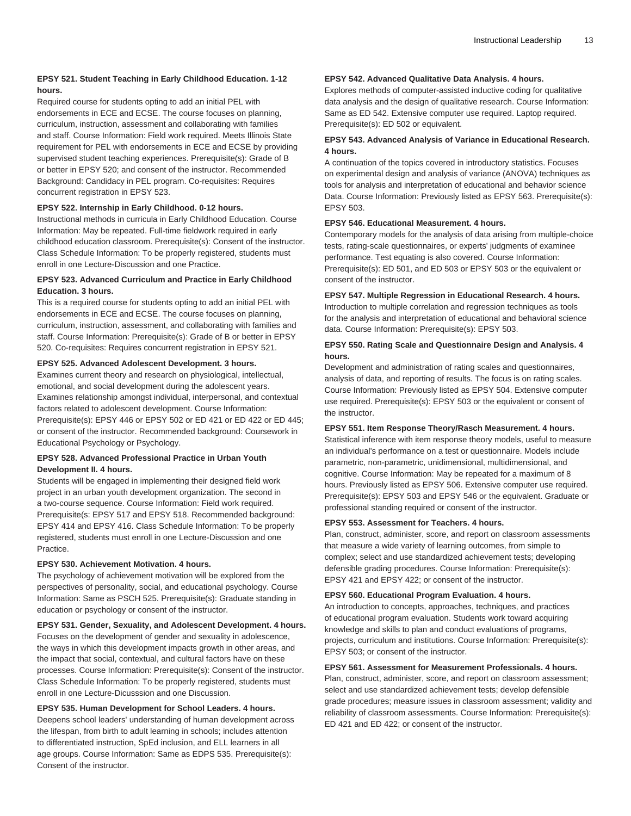# **EPSY 521. Student Teaching in Early Childhood Education. 1-12 hours.**

Required course for students opting to add an initial PEL with endorsements in ECE and ECSE. The course focuses on planning, curriculum, instruction, assessment and collaborating with families and staff. Course Information: Field work required. Meets Illinois State requirement for PEL with endorsements in ECE and ECSE by providing supervised student teaching experiences. Prerequisite(s): Grade of B or better in EPSY 520; and consent of the instructor. Recommended Background: Candidacy in PEL program. Co-requisites: Requires concurrent registration in EPSY 523.

# **EPSY 522. Internship in Early Childhood. 0-12 hours.**

Instructional methods in curricula in Early Childhood Education. Course Information: May be repeated. Full-time fieldwork required in early childhood education classroom. Prerequisite(s): Consent of the instructor. Class Schedule Information: To be properly registered, students must enroll in one Lecture-Discussion and one Practice.

# **EPSY 523. Advanced Curriculum and Practice in Early Childhood Education. 3 hours.**

This is a required course for students opting to add an initial PEL with endorsements in ECE and ECSE. The course focuses on planning, curriculum, instruction, assessment, and collaborating with families and staff. Course Information: Prerequisite(s): Grade of B or better in EPSY 520. Co-requisites: Requires concurrent registration in EPSY 521.

#### **EPSY 525. Advanced Adolescent Development. 3 hours.**

Examines current theory and research on physiological, intellectual, emotional, and social development during the adolescent years. Examines relationship amongst individual, interpersonal, and contextual factors related to adolescent development. Course Information: Prerequisite(s): EPSY 446 or EPSY 502 or ED 421 or ED 422 or ED 445; or consent of the instructor. Recommended background: Coursework in Educational Psychology or Psychology.

# **EPSY 528. Advanced Professional Practice in Urban Youth Development II. 4 hours.**

Students will be engaged in implementing their designed field work project in an urban youth development organization. The second in a two-course sequence. Course Information: Field work required. Prerequisite(s: EPSY 517 and EPSY 518. Recommended background: EPSY 414 and EPSY 416. Class Schedule Information: To be properly registered, students must enroll in one Lecture-Discussion and one Practice.

#### **EPSY 530. Achievement Motivation. 4 hours.**

The psychology of achievement motivation will be explored from the perspectives of personality, social, and educational psychology. Course Information: Same as PSCH 525. Prerequisite(s): Graduate standing in education or psychology or consent of the instructor.

#### **EPSY 531. Gender, Sexuality, and Adolescent Development. 4 hours.**

Focuses on the development of gender and sexuality in adolescence, the ways in which this development impacts growth in other areas, and the impact that social, contextual, and cultural factors have on these processes. Course Information: Prerequisite(s): Consent of the instructor. Class Schedule Information: To be properly registered, students must enroll in one Lecture-Dicusssion and one Discussion.

# **EPSY 535. Human Development for School Leaders. 4 hours.**

Deepens school leaders' understanding of human development across the lifespan, from birth to adult learning in schools; includes attention to differentiated instruction, SpEd inclusion, and ELL learners in all age groups. Course Information: Same as EDPS 535. Prerequisite(s): Consent of the instructor.

# **EPSY 542. Advanced Qualitative Data Analysis. 4 hours.**

Explores methods of computer-assisted inductive coding for qualitative data analysis and the design of qualitative research. Course Information: Same as ED 542. Extensive computer use required. Laptop required. Prerequisite(s): ED 502 or equivalent.

# **EPSY 543. Advanced Analysis of Variance in Educational Research. 4 hours.**

A continuation of the topics covered in introductory statistics. Focuses on experimental design and analysis of variance (ANOVA) techniques as tools for analysis and interpretation of educational and behavior science Data. Course Information: Previously listed as EPSY 563. Prerequisite(s): EPSY 503.

#### **EPSY 546. Educational Measurement. 4 hours.**

Contemporary models for the analysis of data arising from multiple-choice tests, rating-scale questionnaires, or experts' judgments of examinee performance. Test equating is also covered. Course Information: Prerequisite(s): ED 501, and ED 503 or EPSY 503 or the equivalent or consent of the instructor.

# **EPSY 547. Multiple Regression in Educational Research. 4 hours.** Introduction to multiple correlation and regression techniques as tools for the analysis and interpretation of educational and behavioral science data. Course Information: Prerequisite(s): EPSY 503.

# **EPSY 550. Rating Scale and Questionnaire Design and Analysis. 4 hours.**

Development and administration of rating scales and questionnaires, analysis of data, and reporting of results. The focus is on rating scales. Course Information: Previously listed as EPSY 504. Extensive computer use required. Prerequisite(s): EPSY 503 or the equivalent or consent of the instructor.

# **EPSY 551. Item Response Theory/Rasch Measurement. 4 hours.**

Statistical inference with item response theory models, useful to measure an individual's performance on a test or questionnaire. Models include parametric, non-parametric, unidimensional, multidimensional, and cognitive. Course Information: May be repeated for a maximum of 8 hours. Previously listed as EPSY 506. Extensive computer use required. Prerequisite(s): EPSY 503 and EPSY 546 or the equivalent. Graduate or professional standing required or consent of the instructor.

#### **EPSY 553. Assessment for Teachers. 4 hours.**

Plan, construct, administer, score, and report on classroom assessments that measure a wide variety of learning outcomes, from simple to complex; select and use standardized achievement tests; developing defensible grading procedures. Course Information: Prerequisite(s): EPSY 421 and EPSY 422; or consent of the instructor.

#### **EPSY 560. Educational Program Evaluation. 4 hours.**

An introduction to concepts, approaches, techniques, and practices of educational program evaluation. Students work toward acquiring knowledge and skills to plan and conduct evaluations of programs, projects, curriculum and institutions. Course Information: Prerequisite(s): EPSY 503; or consent of the instructor.

#### **EPSY 561. Assessment for Measurement Professionals. 4 hours.**

Plan, construct, administer, score, and report on classroom assessment; select and use standardized achievement tests; develop defensible grade procedures; measure issues in classroom assessment; validity and reliability of classroom assessments. Course Information: Prerequisite(s): ED 421 and ED 422; or consent of the instructor.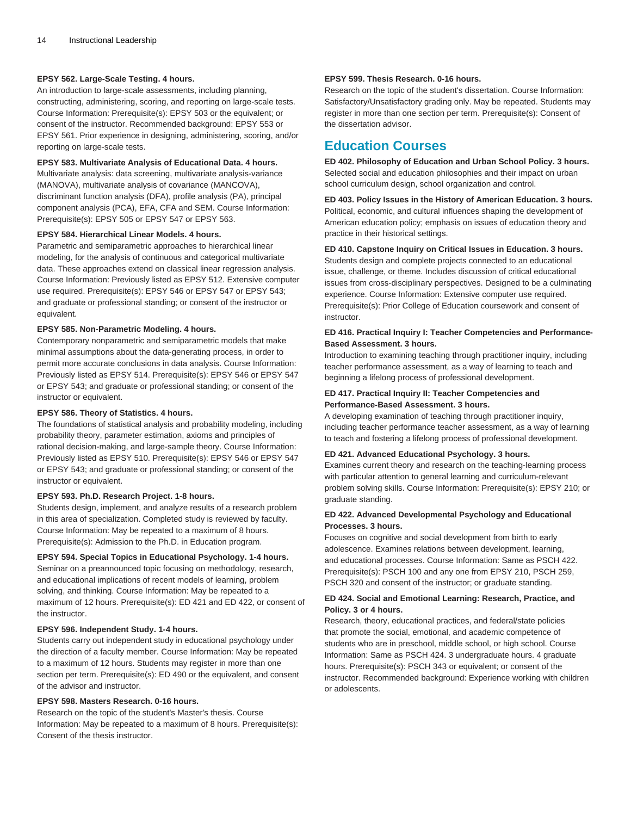# **EPSY 562. Large-Scale Testing. 4 hours.**

An introduction to large-scale assessments, including planning, constructing, administering, scoring, and reporting on large-scale tests. Course Information: Prerequisite(s): EPSY 503 or the equivalent; or consent of the instructor. Recommended background: EPSY 553 or EPSY 561. Prior experience in designing, administering, scoring, and/or reporting on large-scale tests.

#### **EPSY 583. Multivariate Analysis of Educational Data. 4 hours.**

Multivariate analysis: data screening, multivariate analysis-variance (MANOVA), multivariate analysis of covariance (MANCOVA), discriminant function analysis (DFA), profile analysis (PA), principal component analysis (PCA), EFA, CFA and SEM. Course Information: Prerequisite(s): EPSY 505 or EPSY 547 or EPSY 563.

#### **EPSY 584. Hierarchical Linear Models. 4 hours.**

Parametric and semiparametric approaches to hierarchical linear modeling, for the analysis of continuous and categorical multivariate data. These approaches extend on classical linear regression analysis. Course Information: Previously listed as EPSY 512. Extensive computer use required. Prerequisite(s): EPSY 546 or EPSY 547 or EPSY 543; and graduate or professional standing; or consent of the instructor or equivalent.

#### **EPSY 585. Non-Parametric Modeling. 4 hours.**

Contemporary nonparametric and semiparametric models that make minimal assumptions about the data-generating process, in order to permit more accurate conclusions in data analysis. Course Information: Previously listed as EPSY 514. Prerequisite(s): EPSY 546 or EPSY 547 or EPSY 543; and graduate or professional standing; or consent of the instructor or equivalent.

#### **EPSY 586. Theory of Statistics. 4 hours.**

The foundations of statistical analysis and probability modeling, including probability theory, parameter estimation, axioms and principles of rational decision-making, and large-sample theory. Course Information: Previously listed as EPSY 510. Prerequisite(s): EPSY 546 or EPSY 547 or EPSY 543; and graduate or professional standing; or consent of the instructor or equivalent.

# **EPSY 593. Ph.D. Research Project. 1-8 hours.**

Students design, implement, and analyze results of a research problem in this area of specialization. Completed study is reviewed by faculty. Course Information: May be repeated to a maximum of 8 hours. Prerequisite(s): Admission to the Ph.D. in Education program.

#### **EPSY 594. Special Topics in Educational Psychology. 1-4 hours.**

Seminar on a preannounced topic focusing on methodology, research, and educational implications of recent models of learning, problem solving, and thinking. Course Information: May be repeated to a maximum of 12 hours. Prerequisite(s): ED 421 and ED 422, or consent of the instructor.

# **EPSY 596. Independent Study. 1-4 hours.**

Students carry out independent study in educational psychology under the direction of a faculty member. Course Information: May be repeated to a maximum of 12 hours. Students may register in more than one section per term. Prerequisite(s): ED 490 or the equivalent, and consent of the advisor and instructor.

# **EPSY 598. Masters Research. 0-16 hours.**

Research on the topic of the student's Master's thesis. Course Information: May be repeated to a maximum of 8 hours. Prerequisite(s): Consent of the thesis instructor.

#### **EPSY 599. Thesis Research. 0-16 hours.**

Research on the topic of the student's dissertation. Course Information: Satisfactory/Unsatisfactory grading only. May be repeated. Students may register in more than one section per term. Prerequisite(s): Consent of the dissertation advisor.

# <span id="page-13-0"></span>**Education Courses**

**ED 402. Philosophy of Education and Urban School Policy. 3 hours.** Selected social and education philosophies and their impact on urban school curriculum design, school organization and control.

**ED 403. Policy Issues in the History of American Education. 3 hours.** Political, economic, and cultural influences shaping the development of American education policy; emphasis on issues of education theory and practice in their historical settings.

# **ED 410. Capstone Inquiry on Critical Issues in Education. 3 hours.** Students design and complete projects connected to an educational issue, challenge, or theme. Includes discussion of critical educational issues from cross-disciplinary perspectives. Designed to be a culminating experience. Course Information: Extensive computer use required. Prerequisite(s): Prior College of Education coursework and consent of instructor.

# **ED 416. Practical Inquiry I: Teacher Competencies and Performance-Based Assessment. 3 hours.**

Introduction to examining teaching through practitioner inquiry, including teacher performance assessment, as a way of learning to teach and beginning a lifelong process of professional development.

# **ED 417. Practical Inquiry II: Teacher Competencies and Performance-Based Assessment. 3 hours.**

A developing examination of teaching through practitioner inquiry, including teacher performance teacher assessment, as a way of learning to teach and fostering a lifelong process of professional development.

# **ED 421. Advanced Educational Psychology. 3 hours.**

Examines current theory and research on the teaching-learning process with particular attention to general learning and curriculum-relevant problem solving skills. Course Information: Prerequisite(s): EPSY 210; or graduate standing.

# **ED 422. Advanced Developmental Psychology and Educational Processes. 3 hours.**

Focuses on cognitive and social development from birth to early adolescence. Examines relations between development, learning, and educational processes. Course Information: Same as PSCH 422. Prerequisite(s): PSCH 100 and any one from EPSY 210, PSCH 259, PSCH 320 and consent of the instructor; or graduate standing.

# **ED 424. Social and Emotional Learning: Research, Practice, and Policy. 3 or 4 hours.**

Research, theory, educational practices, and federal/state policies that promote the social, emotional, and academic competence of students who are in preschool, middle school, or high school. Course Information: Same as PSCH 424. 3 undergraduate hours. 4 graduate hours. Prerequisite(s): PSCH 343 or equivalent; or consent of the instructor. Recommended background: Experience working with children or adolescents.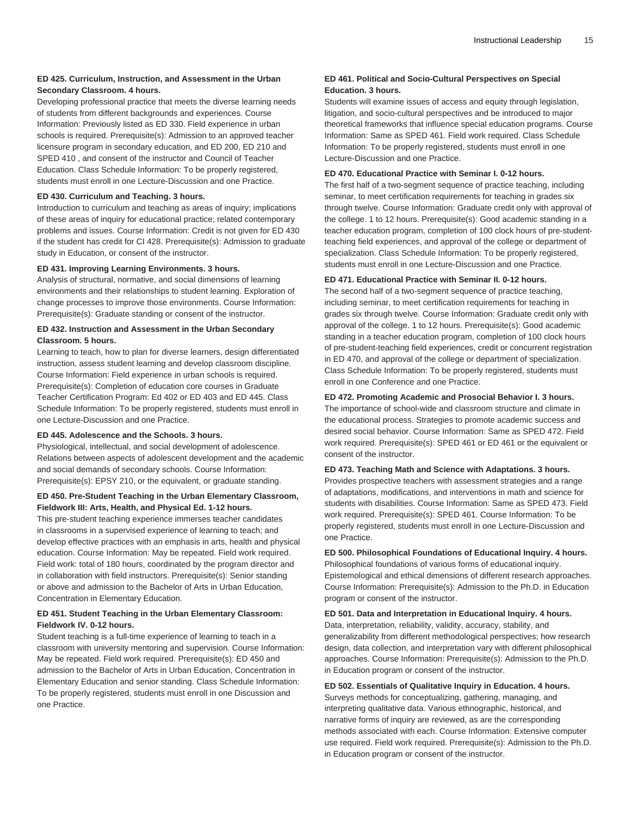# **ED 425. Curriculum, Instruction, and Assessment in the Urban Secondary Classroom. 4 hours.**

Developing professional practice that meets the diverse learning needs of students from different backgrounds and experiences. Course Information: Previously listed as ED 330. Field experience in urban schools is required. Prerequisite(s): Admission to an approved teacher licensure program in secondary education, and ED 200, ED 210 and SPED 410 , and consent of the instructor and Council of Teacher Education. Class Schedule Information: To be properly registered, students must enroll in one Lecture-Discussion and one Practice.

#### **ED 430. Curriculum and Teaching. 3 hours.**

Introduction to curriculum and teaching as areas of inquiry; implications of these areas of inquiry for educational practice; related contemporary problems and issues. Course Information: Credit is not given for ED 430 if the student has credit for CI 428. Prerequisite(s): Admission to graduate study in Education, or consent of the instructor.

#### **ED 431. Improving Learning Environments. 3 hours.**

Analysis of structural, normative, and social dimensions of learning environments and their relationships to student learning. Exploration of change processes to improve those environments. Course Information: Prerequisite(s): Graduate standing or consent of the instructor.

# **ED 432. Instruction and Assessment in the Urban Secondary Classroom. 5 hours.**

Learning to teach, how to plan for diverse learners, design differentiated instruction, assess student learning and develop classroom discipline. Course Information: Field experience in urban schools is required. Prerequisite(s): Completion of education core courses in Graduate Teacher Certification Program: Ed 402 or ED 403 and ED 445. Class Schedule Information: To be properly registered, students must enroll in one Lecture-Discussion and one Practice.

# **ED 445. Adolescence and the Schools. 3 hours.**

Physiological, intellectual, and social development of adolescence. Relations between aspects of adolescent development and the academic and social demands of secondary schools. Course Information: Prerequisite(s): EPSY 210, or the equivalent, or graduate standing.

#### **ED 450. Pre-Student Teaching in the Urban Elementary Classroom, Fieldwork III: Arts, Health, and Physical Ed. 1-12 hours.**

This pre-student teaching experience immerses teacher candidates in classrooms in a supervised experience of learning to teach; and develop effective practices with an emphasis in arts, health and physical education. Course Information: May be repeated. Field work required. Field work: total of 180 hours, coordinated by the program director and in collaboration with field instructors. Prerequisite(s): Senior standing or above and admission to the Bachelor of Arts in Urban Education, Concentration in Elementary Education.

# **ED 451. Student Teaching in the Urban Elementary Classroom: Fieldwork IV. 0-12 hours.**

Student teaching is a full-time experience of learning to teach in a classroom with university mentoring and supervision. Course Information: May be repeated. Field work required. Prerequisite(s): ED 450 and admission to the Bachelor of Arts in Urban Education, Concentration in Elementary Education and senior standing. Class Schedule Information: To be properly registered, students must enroll in one Discussion and one Practice.

# **ED 461. Political and Socio-Cultural Perspectives on Special Education. 3 hours.**

Students will examine issues of access and equity through legislation, litigation, and socio-cultural perspectives and be introduced to major theoretical frameworks that influence special education programs. Course Information: Same as SPED 461. Field work required. Class Schedule Information: To be properly registered, students must enroll in one Lecture-Discussion and one Practice.

#### **ED 470. Educational Practice with Seminar I. 0-12 hours.**

The first half of a two-segment sequence of practice teaching, including seminar, to meet certification requirements for teaching in grades six through twelve. Course Information: Graduate credit only with approval of the college. 1 to 12 hours. Prerequisite(s): Good academic standing in a teacher education program, completion of 100 clock hours of pre-studentteaching field experiences, and approval of the college or department of specialization. Class Schedule Information: To be properly registered, students must enroll in one Lecture-Discussion and one Practice.

# **ED 471. Educational Practice with Seminar II. 0-12 hours.**

The second half of a two-segment sequence of practice teaching, including seminar, to meet certification requirements for teaching in grades six through twelve. Course Information: Graduate credit only with approval of the college. 1 to 12 hours. Prerequisite(s): Good academic standing in a teacher education program, completion of 100 clock hours of pre-student-teaching field experiences, credit or concurrent registration in ED 470, and approval of the college or department of specialization. Class Schedule Information: To be properly registered, students must enroll in one Conference and one Practice.

# **ED 472. Promoting Academic and Prosocial Behavior I. 3 hours.**

The importance of school-wide and classroom structure and climate in the educational process. Strategies to promote academic success and desired social behavior. Course Information: Same as SPED 472. Field work required. Prerequisite(s): SPED 461 or ED 461 or the equivalent or consent of the instructor.

#### **ED 473. Teaching Math and Science with Adaptations. 3 hours.**

Provides prospective teachers with assessment strategies and a range of adaptations, modifications, and interventions in math and science for students with disabilities. Course Information: Same as SPED 473. Field work required. Prerequisite(s): SPED 461. Course Information: To be properly registered, students must enroll in one Lecture-Discussion and one Practice.

#### **ED 500. Philosophical Foundations of Educational Inquiry. 4 hours.**

Philosophical foundations of various forms of educational inquiry. Epistemological and ethical dimensions of different research approaches. Course Information: Prerequisite(s): Admission to the Ph.D. in Education program or consent of the instructor.

# **ED 501. Data and Interpretation in Educational Inquiry. 4 hours.** Data, interpretation, reliability, validity, accuracy, stability, and generalizability from different methodological perspectives; how research design, data collection, and interpretation vary with different philosophical approaches. Course Information: Prerequisite(s): Admission to the Ph.D. in Education program or consent of the instructor.

# **ED 502. Essentials of Qualitative Inquiry in Education. 4 hours.**

Surveys methods for conceptualizing, gathering, managing, and interpreting qualitative data. Various ethnographic, historical, and narrative forms of inquiry are reviewed, as are the corresponding methods associated with each. Course Information: Extensive computer use required. Field work required. Prerequisite(s): Admission to the Ph.D. in Education program or consent of the instructor.